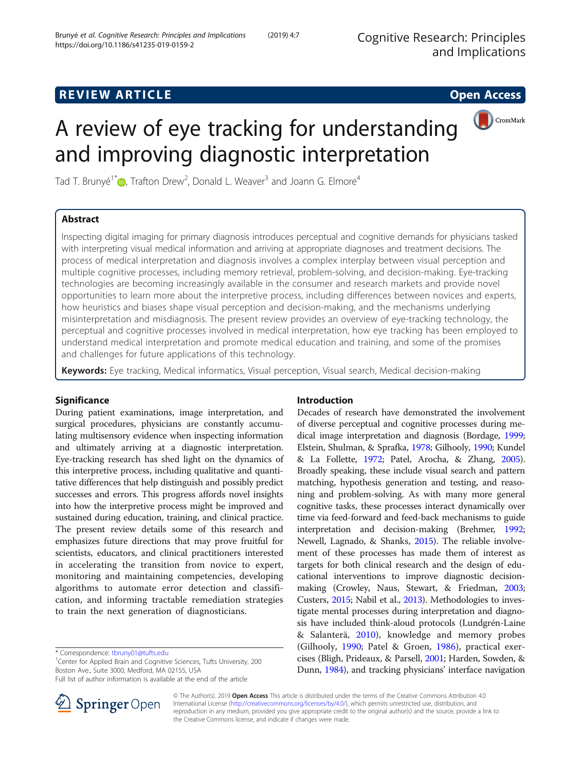# **REVIEW ARTICLE External intervention of the Community Community Community Community Community Community Community**



# A review of eye tracking for understanding and improving diagnostic interpretation

Tad T. Brunyé<sup>1[\\*](http://orcid.org/0000-0002-8788-8764)</sup> (**)**, Trafton Drew<sup>2</sup>, Donald L. Weaver<sup>3</sup> and Joann G. Elmore<sup>4</sup>

# Abstract

Inspecting digital imaging for primary diagnosis introduces perceptual and cognitive demands for physicians tasked with interpreting visual medical information and arriving at appropriate diagnoses and treatment decisions. The process of medical interpretation and diagnosis involves a complex interplay between visual perception and multiple cognitive processes, including memory retrieval, problem-solving, and decision-making. Eye-tracking technologies are becoming increasingly available in the consumer and research markets and provide novel opportunities to learn more about the interpretive process, including differences between novices and experts, how heuristics and biases shape visual perception and decision-making, and the mechanisms underlying misinterpretation and misdiagnosis. The present review provides an overview of eye-tracking technology, the perceptual and cognitive processes involved in medical interpretation, how eye tracking has been employed to understand medical interpretation and promote medical education and training, and some of the promises and challenges for future applications of this technology.

Keywords: Eye tracking, Medical informatics, Visual perception, Visual search, Medical decision-making

# **Significance**

During patient examinations, image interpretation, and surgical procedures, physicians are constantly accumulating multisensory evidence when inspecting information and ultimately arriving at a diagnostic interpretation. Eye-tracking research has shed light on the dynamics of this interpretive process, including qualitative and quantitative differences that help distinguish and possibly predict successes and errors. This progress affords novel insights into how the interpretive process might be improved and sustained during education, training, and clinical practice. The present review details some of this research and emphasizes future directions that may prove fruitful for scientists, educators, and clinical practitioners interested in accelerating the transition from novice to expert, monitoring and maintaining competencies, developing algorithms to automate error detection and classification, and informing tractable remediation strategies to train the next generation of diagnosticians.

<sup>1</sup> Center for Applied Brain and Cognitive Sciences, Tufts University, 200 Boston Ave., Suite 3000, Medford, MA 02155, USA

Full list of author information is available at the end of the article



# Introduction

Decades of research have demonstrated the involvement of diverse perceptual and cognitive processes during medical image interpretation and diagnosis (Bordage, [1999](#page-12-0); Elstein, Shulman, & Sprafka, [1978](#page-12-0); Gilhooly, [1990;](#page-13-0) Kundel & La Follette, [1972;](#page-13-0) Patel, Arocha, & Zhang, [2005](#page-14-0)). Broadly speaking, these include visual search and pattern matching, hypothesis generation and testing, and reasoning and problem-solving. As with many more general cognitive tasks, these processes interact dynamically over time via feed-forward and feed-back mechanisms to guide interpretation and decision-making (Brehmer, [1992](#page-12-0); Newell, Lagnado, & Shanks, [2015](#page-14-0)). The reliable involvement of these processes has made them of interest as targets for both clinical research and the design of educational interventions to improve diagnostic decisionmaking (Crowley, Naus, Stewart, & Friedman, [2003](#page-12-0); Custers, [2015](#page-12-0); Nabil et al., [2013\)](#page-14-0). Methodologies to investigate mental processes during interpretation and diagnosis have included think-aloud protocols (Lundgrén-Laine & Salanterä, [2010](#page-14-0)), knowledge and memory probes (Gilhooly, [1990](#page-13-0); Patel & Groen, [1986](#page-14-0)), practical exercises (Bligh, Prideaux, & Parsell, [2001](#page-12-0); Harden, Sowden, & Dunn, [1984](#page-13-0)), and tracking physicians' interface navigation

© The Author(s). 2019 Open Access This article is distributed under the terms of the Creative Commons Attribution 4.0 International License ([http://creativecommons.org/licenses/by/4.0/\)](http://creativecommons.org/licenses/by/4.0/), which permits unrestricted use, distribution, and reproduction in any medium, provided you give appropriate credit to the original author(s) and the source, provide a link to the Creative Commons license, and indicate if changes were made.

<sup>\*</sup> Correspondence: [tbruny01@tufts.edu](mailto:tbruny01@tufts.edu) <sup>1</sup>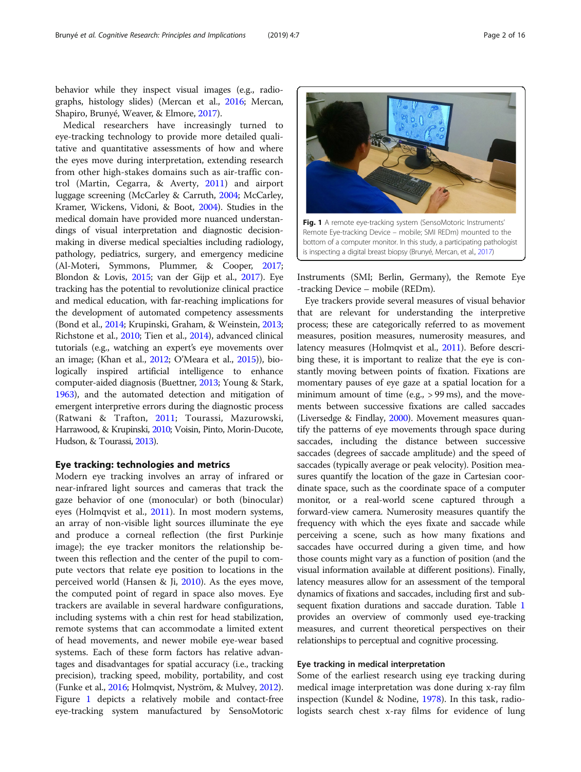behavior while they inspect visual images (e.g., radiographs, histology slides) (Mercan et al., [2016](#page-14-0); Mercan, Shapiro, Brunyé, Weaver, & Elmore, [2017\)](#page-14-0).

Medical researchers have increasingly turned to eye-tracking technology to provide more detailed qualitative and quantitative assessments of how and where the eyes move during interpretation, extending research from other high-stakes domains such as air-traffic control (Martin, Cegarra, & Averty, [2011](#page-14-0)) and airport luggage screening (McCarley & Carruth, [2004](#page-14-0); McCarley, Kramer, Wickens, Vidoni, & Boot, [2004](#page-14-0)). Studies in the medical domain have provided more nuanced understandings of visual interpretation and diagnostic decisionmaking in diverse medical specialties including radiology, pathology, pediatrics, surgery, and emergency medicine (Al-Moteri, Symmons, Plummer, & Cooper, [2017](#page-11-0); Blondon & Lovis, [2015](#page-12-0); van der Gijp et al., [2017\)](#page-15-0). Eye tracking has the potential to revolutionize clinical practice and medical education, with far-reaching implications for the development of automated competency assessments (Bond et al., [2014;](#page-12-0) Krupinski, Graham, & Weinstein, [2013](#page-13-0); Richstone et al., [2010](#page-15-0); Tien et al., [2014\)](#page-15-0), advanced clinical tutorials (e.g., watching an expert's eye movements over an image; (Khan et al., [2012;](#page-13-0) O'Meara et al., [2015](#page-14-0))), biologically inspired artificial intelligence to enhance computer-aided diagnosis (Buettner, [2013;](#page-12-0) Young & Stark, [1963\)](#page-15-0), and the automated detection and mitigation of emergent interpretive errors during the diagnostic process (Ratwani & Trafton, [2011;](#page-14-0) Tourassi, Mazurowski, Harrawood, & Krupinski, [2010;](#page-15-0) Voisin, Pinto, Morin-Ducote, Hudson, & Tourassi, [2013](#page-15-0)).

# Eye tracking: technologies and metrics

Modern eye tracking involves an array of infrared or near-infrared light sources and cameras that track the gaze behavior of one (monocular) or both (binocular) eyes (Holmqvist et al., [2011](#page-13-0)). In most modern systems, an array of non-visible light sources illuminate the eye and produce a corneal reflection (the first Purkinje image); the eye tracker monitors the relationship between this reflection and the center of the pupil to compute vectors that relate eye position to locations in the perceived world (Hansen & Ji, [2010\)](#page-13-0). As the eyes move, the computed point of regard in space also moves. Eye trackers are available in several hardware configurations, including systems with a chin rest for head stabilization, remote systems that can accommodate a limited extent of head movements, and newer mobile eye-wear based systems. Each of these form factors has relative advantages and disadvantages for spatial accuracy (i.e., tracking precision), tracking speed, mobility, portability, and cost (Funke et al., [2016](#page-12-0); Holmqvist, Nyström, & Mulvey, [2012](#page-13-0)). Figure 1 depicts a relatively mobile and contact-free eye-tracking system manufactured by SensoMotoric



Instruments (SMI; Berlin, Germany), the Remote Eye -tracking Device – mobile (REDm).

Eye trackers provide several measures of visual behavior that are relevant for understanding the interpretive process; these are categorically referred to as movement measures, position measures, numerosity measures, and latency measures (Holmqvist et al., [2011\)](#page-13-0). Before describing these, it is important to realize that the eye is constantly moving between points of fixation. Fixations are momentary pauses of eye gaze at a spatial location for a minimum amount of time (e.g.,  $> 99$  ms), and the movements between successive fixations are called saccades (Liversedge & Findlay, [2000](#page-14-0)). Movement measures quantify the patterns of eye movements through space during saccades, including the distance between successive saccades (degrees of saccade amplitude) and the speed of saccades (typically average or peak velocity). Position measures quantify the location of the gaze in Cartesian coordinate space, such as the coordinate space of a computer monitor, or a real-world scene captured through a forward-view camera. Numerosity measures quantify the frequency with which the eyes fixate and saccade while perceiving a scene, such as how many fixations and saccades have occurred during a given time, and how those counts might vary as a function of position (and the visual information available at different positions). Finally, latency measures allow for an assessment of the temporal dynamics of fixations and saccades, including first and subsequent fixation durations and saccade duration. Table [1](#page-2-0) provides an overview of commonly used eye-tracking measures, and current theoretical perspectives on their relationships to perceptual and cognitive processing.

# Eye tracking in medical interpretation

Some of the earliest research using eye tracking during medical image interpretation was done during x-ray film inspection (Kundel & Nodine, [1978](#page-13-0)). In this task, radiologists search chest x-ray films for evidence of lung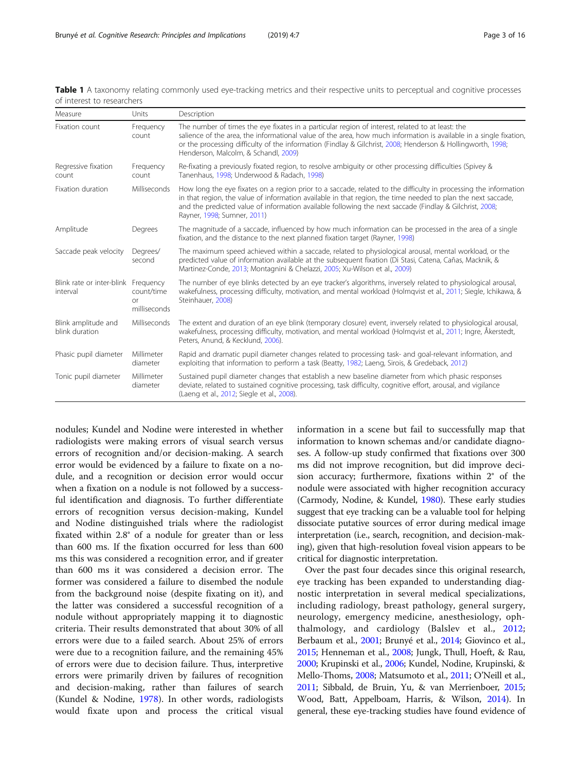| Measure                                         | Units                                    | Description                                                                                                                                                                                                                                                                                                                                                                   |
|-------------------------------------------------|------------------------------------------|-------------------------------------------------------------------------------------------------------------------------------------------------------------------------------------------------------------------------------------------------------------------------------------------------------------------------------------------------------------------------------|
| Fixation count                                  | Frequency<br>count                       | The number of times the eye fixates in a particular region of interest, related to at least: the<br>salience of the area, the informational value of the area, how much information is available in a single fixation,<br>or the processing difficulty of the information (Findlay & Gilchrist, 2008; Henderson & Hollingworth, 1998;<br>Henderson, Malcolm, & Schandl, 2009) |
| Regressive fixation<br>count                    | Frequency<br>count                       | Re-fixating a previously fixated region, to resolve ambiguity or other processing difficulties (Spivey &<br>Tanenhaus, 1998; Underwood & Radach, 1998)                                                                                                                                                                                                                        |
| Fixation duration                               | Milliseconds                             | How long the eye fixates on a region prior to a saccade, related to the difficulty in processing the information<br>in that region, the value of information available in that region, the time needed to plan the next saccade,<br>and the predicted value of information available following the next saccade (Findlay & Gilchrist, 2008;<br>Rayner, 1998; Sumner, 2011)    |
| Amplitude                                       | Degrees                                  | The magnitude of a saccade, influenced by how much information can be processed in the area of a single<br>fixation, and the distance to the next planned fixation target (Rayner, 1998)                                                                                                                                                                                      |
| Saccade peak velocity                           | Degrees/<br>second                       | The maximum speed achieved within a saccade, related to physiological arousal, mental workload, or the<br>predicted value of information available at the subsequent fixation (Di Stasi, Catena, Cañas, Macknik, &<br>Martinez-Conde, 2013; Montagnini & Chelazzi, 2005; Xu-Wilson et al., 2009)                                                                              |
| Blink rate or inter-blink Frequency<br>interval | count/time<br>$\alpha$ r<br>milliseconds | The number of eye blinks detected by an eye tracker's algorithms, inversely related to physiological arousal,<br>wakefulness, processing difficulty, motivation, and mental workload (Holmqvist et al., 2011; Siegle, Ichikawa, &<br>Steinhauer, 2008)                                                                                                                        |
| Blink amplitude and<br>blink duration           | Milliseconds                             | The extent and duration of an eye blink (temporary closure) event, inversely related to physiological arousal,<br>wakefulness, processing difficulty, motivation, and mental workload (Holmgvist et al., 2011; Ingre, Åkerstedt,<br>Peters, Anund, & Kecklund, 2006).                                                                                                         |
| Phasic pupil diameter                           | Millimeter<br>diameter                   | Rapid and dramatic pupil diameter changes related to processing task- and goal-relevant information, and<br>exploiting that information to perform a task (Beatty, 1982; Laeng, Sirois, & Gredeback, 2012)                                                                                                                                                                    |
| Tonic pupil diameter                            | Millimeter<br>diameter                   | Sustained pupil diameter changes that establish a new baseline diameter from which phasic responses<br>deviate, related to sustained cognitive processing, task difficulty, cognitive effort, arousal, and vigilance<br>(Laeng et al., 2012; Siegle et al., 2008).                                                                                                            |

<span id="page-2-0"></span>Table 1 A taxonomy relating commonly used eye-tracking metrics and their respective units to perceptual and cognitive processes of interest to researchers

nodules; Kundel and Nodine were interested in whether radiologists were making errors of visual search versus errors of recognition and/or decision-making. A search error would be evidenced by a failure to fixate on a nodule, and a recognition or decision error would occur when a fixation on a nodule is not followed by a successful identification and diagnosis. To further differentiate errors of recognition versus decision-making, Kundel and Nodine distinguished trials where the radiologist fixated within 2.8° of a nodule for greater than or less than 600 ms. If the fixation occurred for less than 600 ms this was considered a recognition error, and if greater than 600 ms it was considered a decision error. The former was considered a failure to disembed the nodule from the background noise (despite fixating on it), and the latter was considered a successful recognition of a nodule without appropriately mapping it to diagnostic criteria. Their results demonstrated that about 30% of all errors were due to a failed search. About 25% of errors were due to a recognition failure, and the remaining 45% of errors were due to decision failure. Thus, interpretive errors were primarily driven by failures of recognition and decision-making, rather than failures of search (Kundel & Nodine, [1978](#page-13-0)). In other words, radiologists would fixate upon and process the critical visual information in a scene but fail to successfully map that information to known schemas and/or candidate diagnoses. A follow-up study confirmed that fixations over 300 ms did not improve recognition, but did improve decision accuracy; furthermore, fixations within 2° of the nodule were associated with higher recognition accuracy (Carmody, Nodine, & Kundel, [1980](#page-12-0)). These early studies suggest that eye tracking can be a valuable tool for helping dissociate putative sources of error during medical image interpretation (i.e., search, recognition, and decision-making), given that high-resolution foveal vision appears to be critical for diagnostic interpretation.

Over the past four decades since this original research, eye tracking has been expanded to understanding diagnostic interpretation in several medical specializations, including radiology, breast pathology, general surgery, neurology, emergency medicine, anesthesiology, ophthalmology, and cardiology (Balslev et al., [2012](#page-11-0); Berbaum et al., [2001](#page-12-0); Brunyé et al., [2014](#page-12-0); Giovinco et al., [2015;](#page-13-0) Henneman et al., [2008;](#page-13-0) Jungk, Thull, Hoeft, & Rau, [2000;](#page-13-0) Krupinski et al., [2006](#page-13-0); Kundel, Nodine, Krupinski, & Mello-Thoms, [2008;](#page-13-0) Matsumoto et al., [2011](#page-14-0); O'Neill et al., [2011;](#page-14-0) Sibbald, de Bruin, Yu, & van Merrienboer, [2015](#page-15-0); Wood, Batt, Appelboam, Harris, & Wilson, [2014\)](#page-15-0). In general, these eye-tracking studies have found evidence of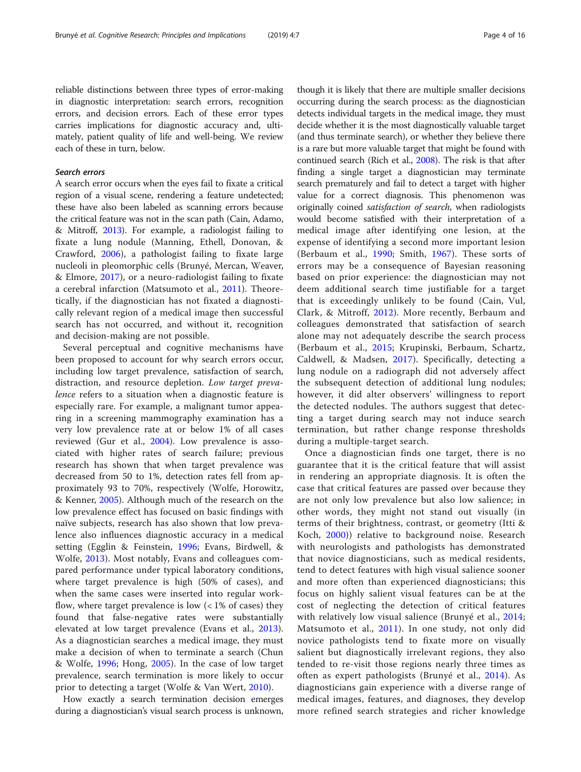reliable distinctions between three types of error-making in diagnostic interpretation: search errors, recognition errors, and decision errors. Each of these error types carries implications for diagnostic accuracy and, ultimately, patient quality of life and well-being. We review each of these in turn, below.

A search error occurs when the eyes fail to fixate a critical region of a visual scene, rendering a feature undetected; these have also been labeled as scanning errors because the critical feature was not in the scan path (Cain, Adamo, & Mitroff, [2013\)](#page-12-0). For example, a radiologist failing to fixate a lung nodule (Manning, Ethell, Donovan, & Crawford, [2006\)](#page-14-0), a pathologist failing to fixate large nucleoli in pleomorphic cells (Brunyé, Mercan, Weaver, & Elmore, [2017\)](#page-12-0), or a neuro-radiologist failing to fixate a cerebral infarction (Matsumoto et al., [2011\)](#page-14-0). Theoretically, if the diagnostician has not fixated a diagnostically relevant region of a medical image then successful search has not occurred, and without it, recognition and decision-making are not possible.

Several perceptual and cognitive mechanisms have been proposed to account for why search errors occur, including low target prevalence, satisfaction of search, distraction, and resource depletion. Low target prevalence refers to a situation when a diagnostic feature is especially rare. For example, a malignant tumor appearing in a screening mammography examination has a very low prevalence rate at or below 1% of all cases reviewed (Gur et al., [2004\)](#page-13-0). Low prevalence is associated with higher rates of search failure; previous research has shown that when target prevalence was decreased from 50 to 1%, detection rates fell from approximately 93 to 70%, respectively (Wolfe, Horowitz, & Kenner, [2005\)](#page-15-0). Although much of the research on the low prevalence effect has focused on basic findings with naïve subjects, research has also shown that low prevalence also influences diagnostic accuracy in a medical setting (Egglin & Feinstein, [1996](#page-12-0); Evans, Birdwell, & Wolfe, [2013](#page-12-0)). Most notably, Evans and colleagues compared performance under typical laboratory conditions, where target prevalence is high (50% of cases), and when the same cases were inserted into regular workflow, where target prevalence is low  $($  < 1% of cases) they found that false-negative rates were substantially elevated at low target prevalence (Evans et al., [2013](#page-12-0)). As a diagnostician searches a medical image, they must make a decision of when to terminate a search (Chun & Wolfe, [1996](#page-12-0); Hong, [2005](#page-13-0)). In the case of low target prevalence, search termination is more likely to occur prior to detecting a target (Wolfe & Van Wert, [2010](#page-15-0)).

How exactly a search termination decision emerges during a diagnostician's visual search process is unknown,

though it is likely that there are multiple smaller decisions occurring during the search process: as the diagnostician detects individual targets in the medical image, they must decide whether it is the most diagnostically valuable target (and thus terminate search), or whether they believe there is a rare but more valuable target that might be found with continued search (Rich et al., [2008\)](#page-15-0). The risk is that after finding a single target a diagnostician may terminate search prematurely and fail to detect a target with higher value for a correct diagnosis. This phenomenon was originally coined satisfaction of search, when radiologists would become satisfied with their interpretation of a medical image after identifying one lesion, at the expense of identifying a second more important lesion (Berbaum et al., [1990](#page-12-0); Smith, [1967](#page-15-0)). These sorts of errors may be a consequence of Bayesian reasoning based on prior experience: the diagnostician may not deem additional search time justifiable for a target that is exceedingly unlikely to be found (Cain, Vul, Clark, & Mitroff, [2012](#page-12-0)). More recently, Berbaum and colleagues demonstrated that satisfaction of search alone may not adequately describe the search process (Berbaum et al., [2015](#page-12-0); Krupinski, Berbaum, Schartz, Caldwell, & Madsen, [2017](#page-13-0)). Specifically, detecting a lung nodule on a radiograph did not adversely affect the subsequent detection of additional lung nodules; however, it did alter observers' willingness to report the detected nodules. The authors suggest that detecting a target during search may not induce search termination, but rather change response thresholds during a multiple-target search.

Once a diagnostician finds one target, there is no guarantee that it is the critical feature that will assist in rendering an appropriate diagnosis. It is often the case that critical features are passed over because they are not only low prevalence but also low salience; in other words, they might not stand out visually (in terms of their brightness, contrast, or geometry (Itti & Koch, [2000\)](#page-13-0)) relative to background noise. Research with neurologists and pathologists has demonstrated that novice diagnosticians, such as medical residents, tend to detect features with high visual salience sooner and more often than experienced diagnosticians; this focus on highly salient visual features can be at the cost of neglecting the detection of critical features with relatively low visual salience (Brunyé et al., [2014](#page-12-0); Matsumoto et al., [2011\)](#page-14-0). In one study, not only did novice pathologists tend to fixate more on visually salient but diagnostically irrelevant regions, they also tended to re-visit those regions nearly three times as often as expert pathologists (Brunyé et al., [2014\)](#page-12-0). As diagnosticians gain experience with a diverse range of medical images, features, and diagnoses, they develop more refined search strategies and richer knowledge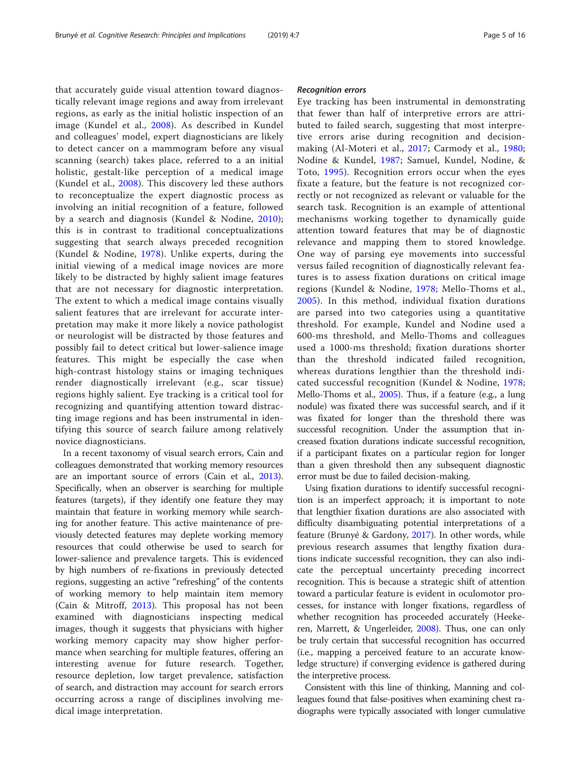that accurately guide visual attention toward diagnostically relevant image regions and away from irrelevant regions, as early as the initial holistic inspection of an image (Kundel et al., [2008](#page-13-0)). As described in Kundel and colleagues' model, expert diagnosticians are likely to detect cancer on a mammogram before any visual scanning (search) takes place, referred to a an initial holistic, gestalt-like perception of a medical image (Kundel et al., [2008\)](#page-13-0). This discovery led these authors to reconceptualize the expert diagnostic process as involving an initial recognition of a feature, followed by a search and diagnosis (Kundel & Nodine, [2010](#page-13-0)); this is in contrast to traditional conceptualizations suggesting that search always preceded recognition (Kundel & Nodine, [1978\)](#page-13-0). Unlike experts, during the initial viewing of a medical image novices are more likely to be distracted by highly salient image features that are not necessary for diagnostic interpretation. The extent to which a medical image contains visually salient features that are irrelevant for accurate interpretation may make it more likely a novice pathologist or neurologist will be distracted by those features and possibly fail to detect critical but lower-salience image features. This might be especially the case when high-contrast histology stains or imaging techniques render diagnostically irrelevant (e.g., scar tissue) regions highly salient. Eye tracking is a critical tool for recognizing and quantifying attention toward distracting image regions and has been instrumental in identifying this source of search failure among relatively novice diagnosticians.

In a recent taxonomy of visual search errors, Cain and colleagues demonstrated that working memory resources are an important source of errors (Cain et al., [2013](#page-12-0)). Specifically, when an observer is searching for multiple features (targets), if they identify one feature they may maintain that feature in working memory while searching for another feature. This active maintenance of previously detected features may deplete working memory resources that could otherwise be used to search for lower-salience and prevalence targets. This is evidenced by high numbers of re-fixations in previously detected regions, suggesting an active "refreshing" of the contents of working memory to help maintain item memory (Cain & Mitroff, [2013\)](#page-12-0). This proposal has not been examined with diagnosticians inspecting medical images, though it suggests that physicians with higher working memory capacity may show higher performance when searching for multiple features, offering an interesting avenue for future research. Together, resource depletion, low target prevalence, satisfaction of search, and distraction may account for search errors occurring across a range of disciplines involving medical image interpretation.

Eye tracking has been instrumental in demonstrating that fewer than half of interpretive errors are attributed to failed search, suggesting that most interpretive errors arise during recognition and decisionmaking (Al-Moteri et al., [2017;](#page-11-0) Carmody et al., [1980](#page-12-0); Nodine & Kundel, [1987;](#page-14-0) Samuel, Kundel, Nodine, & Toto, [1995\)](#page-15-0). Recognition errors occur when the eyes fixate a feature, but the feature is not recognized correctly or not recognized as relevant or valuable for the search task. Recognition is an example of attentional mechanisms working together to dynamically guide attention toward features that may be of diagnostic relevance and mapping them to stored knowledge. One way of parsing eye movements into successful versus failed recognition of diagnostically relevant features is to assess fixation durations on critical image regions (Kundel & Nodine, [1978;](#page-13-0) Mello-Thoms et al., [2005](#page-14-0)). In this method, individual fixation durations are parsed into two categories using a quantitative threshold. For example, Kundel and Nodine used a 600-ms threshold, and Mello-Thoms and colleagues used a 1000-ms threshold; fixation durations shorter than the threshold indicated failed recognition, whereas durations lengthier than the threshold indicated successful recognition (Kundel & Nodine, [1978](#page-13-0); Mello-Thoms et al., [2005\)](#page-14-0). Thus, if a feature (e.g., a lung nodule) was fixated there was successful search, and if it was fixated for longer than the threshold there was successful recognition. Under the assumption that increased fixation durations indicate successful recognition, if a participant fixates on a particular region for longer than a given threshold then any subsequent diagnostic error must be due to failed decision-making.

Using fixation durations to identify successful recognition is an imperfect approach; it is important to note that lengthier fixation durations are also associated with difficulty disambiguating potential interpretations of a feature (Brunyé & Gardony, [2017\)](#page-12-0). In other words, while previous research assumes that lengthy fixation durations indicate successful recognition, they can also indicate the perceptual uncertainty preceding incorrect recognition. This is because a strategic shift of attention toward a particular feature is evident in oculomotor processes, for instance with longer fixations, regardless of whether recognition has proceeded accurately (Heekeren, Marrett, & Ungerleider, [2008\)](#page-13-0). Thus, one can only be truly certain that successful recognition has occurred (i.e., mapping a perceived feature to an accurate knowledge structure) if converging evidence is gathered during the interpretive process.

Consistent with this line of thinking, Manning and colleagues found that false-positives when examining chest radiographs were typically associated with longer cumulative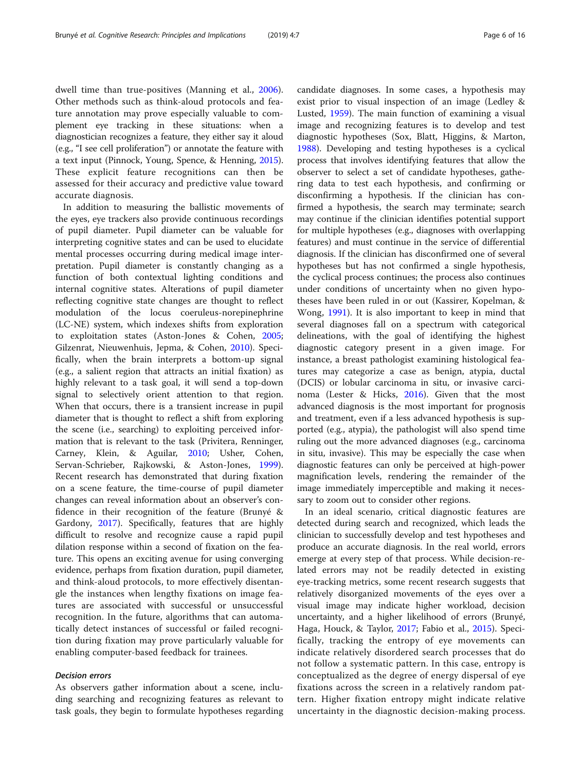dwell time than true-positives (Manning et al., [2006](#page-14-0)). Other methods such as think-aloud protocols and feature annotation may prove especially valuable to complement eye tracking in these situations: when a diagnostician recognizes a feature, they either say it aloud (e.g., "I see cell proliferation") or annotate the feature with a text input (Pinnock, Young, Spence, & Henning, [2015](#page-14-0)). These explicit feature recognitions can then be assessed for their accuracy and predictive value toward accurate diagnosis.

In addition to measuring the ballistic movements of the eyes, eye trackers also provide continuous recordings of pupil diameter. Pupil diameter can be valuable for interpreting cognitive states and can be used to elucidate mental processes occurring during medical image interpretation. Pupil diameter is constantly changing as a function of both contextual lighting conditions and internal cognitive states. Alterations of pupil diameter reflecting cognitive state changes are thought to reflect modulation of the locus coeruleus-norepinephrine (LC-NE) system, which indexes shifts from exploration to exploitation states (Aston-Jones & Cohen, [2005](#page-11-0); Gilzenrat, Nieuwenhuis, Jepma, & Cohen, [2010\)](#page-13-0). Specifically, when the brain interprets a bottom-up signal (e.g., a salient region that attracts an initial fixation) as highly relevant to a task goal, it will send a top-down signal to selectively orient attention to that region. When that occurs, there is a transient increase in pupil diameter that is thought to reflect a shift from exploring the scene (i.e., searching) to exploiting perceived information that is relevant to the task (Privitera, Renninger, Carney, Klein, & Aguilar, [2010](#page-14-0); Usher, Cohen, Servan-Schrieber, Rajkowski, & Aston-Jones, [1999](#page-15-0)). Recent research has demonstrated that during fixation on a scene feature, the time-course of pupil diameter changes can reveal information about an observer's confidence in their recognition of the feature (Brunyé & Gardony, [2017](#page-12-0)). Specifically, features that are highly difficult to resolve and recognize cause a rapid pupil dilation response within a second of fixation on the feature. This opens an exciting avenue for using converging evidence, perhaps from fixation duration, pupil diameter, and think-aloud protocols, to more effectively disentangle the instances when lengthy fixations on image features are associated with successful or unsuccessful recognition. In the future, algorithms that can automatically detect instances of successful or failed recognition during fixation may prove particularly valuable for enabling computer-based feedback for trainees.

As observers gather information about a scene, including searching and recognizing features as relevant to task goals, they begin to formulate hypotheses regarding candidate diagnoses. In some cases, a hypothesis may exist prior to visual inspection of an image (Ledley & Lusted, [1959\)](#page-14-0). The main function of examining a visual image and recognizing features is to develop and test diagnostic hypotheses (Sox, Blatt, Higgins, & Marton, [1988](#page-15-0)). Developing and testing hypotheses is a cyclical process that involves identifying features that allow the observer to select a set of candidate hypotheses, gathering data to test each hypothesis, and confirming or disconfirming a hypothesis. If the clinician has confirmed a hypothesis, the search may terminate; search may continue if the clinician identifies potential support for multiple hypotheses (e.g., diagnoses with overlapping features) and must continue in the service of differential diagnosis. If the clinician has disconfirmed one of several hypotheses but has not confirmed a single hypothesis, the cyclical process continues; the process also continues under conditions of uncertainty when no given hypotheses have been ruled in or out (Kassirer, Kopelman, & Wong, [1991\)](#page-13-0). It is also important to keep in mind that several diagnoses fall on a spectrum with categorical delineations, with the goal of identifying the highest diagnostic category present in a given image. For instance, a breast pathologist examining histological features may categorize a case as benign, atypia, ductal (DCIS) or lobular carcinoma in situ, or invasive carcinoma (Lester & Hicks, [2016](#page-14-0)). Given that the most advanced diagnosis is the most important for prognosis and treatment, even if a less advanced hypothesis is supported (e.g., atypia), the pathologist will also spend time ruling out the more advanced diagnoses (e.g., carcinoma in situ, invasive). This may be especially the case when diagnostic features can only be perceived at high-power magnification levels, rendering the remainder of the image immediately imperceptible and making it necessary to zoom out to consider other regions.

In an ideal scenario, critical diagnostic features are detected during search and recognized, which leads the clinician to successfully develop and test hypotheses and produce an accurate diagnosis. In the real world, errors emerge at every step of that process. While decision-related errors may not be readily detected in existing eye-tracking metrics, some recent research suggests that relatively disorganized movements of the eyes over a visual image may indicate higher workload, decision uncertainty, and a higher likelihood of errors (Brunyé, Haga, Houck, & Taylor, [2017;](#page-12-0) Fabio et al., [2015](#page-12-0)). Specifically, tracking the entropy of eye movements can indicate relatively disordered search processes that do not follow a systematic pattern. In this case, entropy is conceptualized as the degree of energy dispersal of eye fixations across the screen in a relatively random pattern. Higher fixation entropy might indicate relative uncertainty in the diagnostic decision-making process.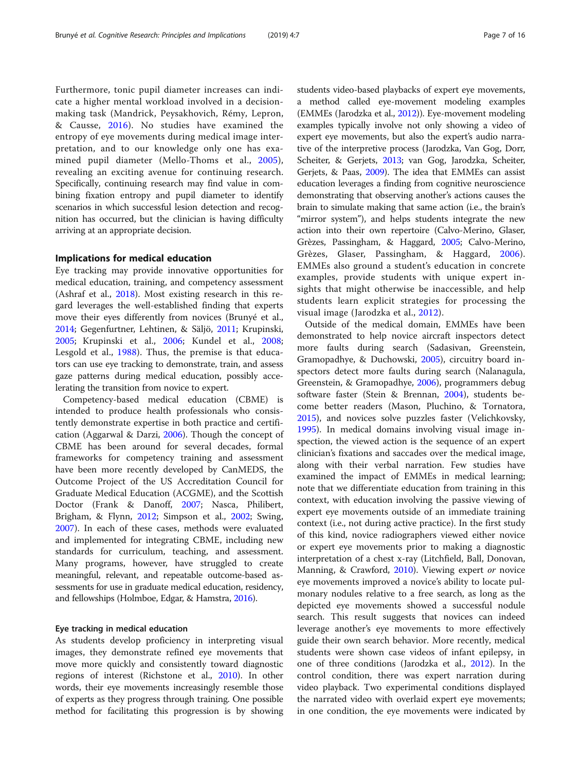Furthermore, tonic pupil diameter increases can indicate a higher mental workload involved in a decisionmaking task (Mandrick, Peysakhovich, Rémy, Lepron, & Causse, [2016](#page-14-0)). No studies have examined the entropy of eye movements during medical image interpretation, and to our knowledge only one has examined pupil diameter (Mello-Thoms et al., [2005](#page-14-0)), revealing an exciting avenue for continuing research. Specifically, continuing research may find value in combining fixation entropy and pupil diameter to identify scenarios in which successful lesion detection and recognition has occurred, but the clinician is having difficulty arriving at an appropriate decision.

# Implications for medical education

Eye tracking may provide innovative opportunities for medical education, training, and competency assessment (Ashraf et al., [2018](#page-11-0)). Most existing research in this regard leverages the well-established finding that experts move their eyes differently from novices (Brunyé et al., [2014](#page-12-0); Gegenfurtner, Lehtinen, & Säljö, [2011](#page-12-0); Krupinski, [2005](#page-13-0); Krupinski et al., [2006](#page-13-0); Kundel et al., [2008](#page-13-0); Lesgold et al., [1988](#page-14-0)). Thus, the premise is that educators can use eye tracking to demonstrate, train, and assess gaze patterns during medical education, possibly accelerating the transition from novice to expert.

Competency-based medical education (CBME) is intended to produce health professionals who consistently demonstrate expertise in both practice and certification (Aggarwal & Darzi, [2006](#page-11-0)). Though the concept of CBME has been around for several decades, formal frameworks for competency training and assessment have been more recently developed by CanMEDS, the Outcome Project of the US Accreditation Council for Graduate Medical Education (ACGME), and the Scottish Doctor (Frank & Danoff, [2007;](#page-12-0) Nasca, Philibert, Brigham, & Flynn, [2012](#page-14-0); Simpson et al., [2002](#page-15-0); Swing, [2007](#page-15-0)). In each of these cases, methods were evaluated and implemented for integrating CBME, including new standards for curriculum, teaching, and assessment. Many programs, however, have struggled to create meaningful, relevant, and repeatable outcome-based assessments for use in graduate medical education, residency, and fellowships (Holmboe, Edgar, & Hamstra, [2016\)](#page-13-0).

# Eye tracking in medical education

As students develop proficiency in interpreting visual images, they demonstrate refined eye movements that move more quickly and consistently toward diagnostic regions of interest (Richstone et al., [2010](#page-15-0)). In other words, their eye movements increasingly resemble those of experts as they progress through training. One possible method for facilitating this progression is by showing students video-based playbacks of expert eye movements, a method called eye-movement modeling examples (EMMEs (Jarodzka et al., [2012](#page-13-0))). Eye-movement modeling examples typically involve not only showing a video of expert eye movements, but also the expert's audio narrative of the interpretive process (Jarodzka, Van Gog, Dorr, Scheiter, & Gerjets, [2013;](#page-13-0) van Gog, Jarodzka, Scheiter, Gerjets, & Paas, [2009](#page-15-0)). The idea that EMMEs can assist education leverages a finding from cognitive neuroscience demonstrating that observing another's actions causes the brain to simulate making that same action (i.e., the brain's "mirror system"), and helps students integrate the new action into their own repertoire (Calvo-Merino, Glaser, Grèzes, Passingham, & Haggard, [2005;](#page-12-0) Calvo-Merino, Grèzes, Glaser, Passingham, & Haggard, [2006](#page-12-0)). EMMEs also ground a student's education in concrete examples, provide students with unique expert insights that might otherwise be inaccessible, and help students learn explicit strategies for processing the visual image (Jarodzka et al., [2012\)](#page-13-0).

Outside of the medical domain, EMMEs have been demonstrated to help novice aircraft inspectors detect more faults during search (Sadasivan, Greenstein, Gramopadhye, & Duchowski, [2005](#page-15-0)), circuitry board inspectors detect more faults during search (Nalanagula, Greenstein, & Gramopadhye, [2006](#page-14-0)), programmers debug software faster (Stein & Brennan, [2004](#page-15-0)), students become better readers (Mason, Pluchino, & Tornatora, [2015](#page-14-0)), and novices solve puzzles faster (Velichkovsky, [1995](#page-15-0)). In medical domains involving visual image inspection, the viewed action is the sequence of an expert clinician's fixations and saccades over the medical image, along with their verbal narration. Few studies have examined the impact of EMMEs in medical learning; note that we differentiate education from training in this context, with education involving the passive viewing of expert eye movements outside of an immediate training context (i.e., not during active practice). In the first study of this kind, novice radiographers viewed either novice or expert eye movements prior to making a diagnostic interpretation of a chest x-ray (Litchfield, Ball, Donovan, Manning, & Crawford, [2010\)](#page-14-0). Viewing expert or novice eye movements improved a novice's ability to locate pulmonary nodules relative to a free search, as long as the depicted eye movements showed a successful nodule search. This result suggests that novices can indeed leverage another's eye movements to more effectively guide their own search behavior. More recently, medical students were shown case videos of infant epilepsy, in one of three conditions (Jarodzka et al., [2012](#page-13-0)). In the control condition, there was expert narration during video playback. Two experimental conditions displayed the narrated video with overlaid expert eye movements; in one condition, the eye movements were indicated by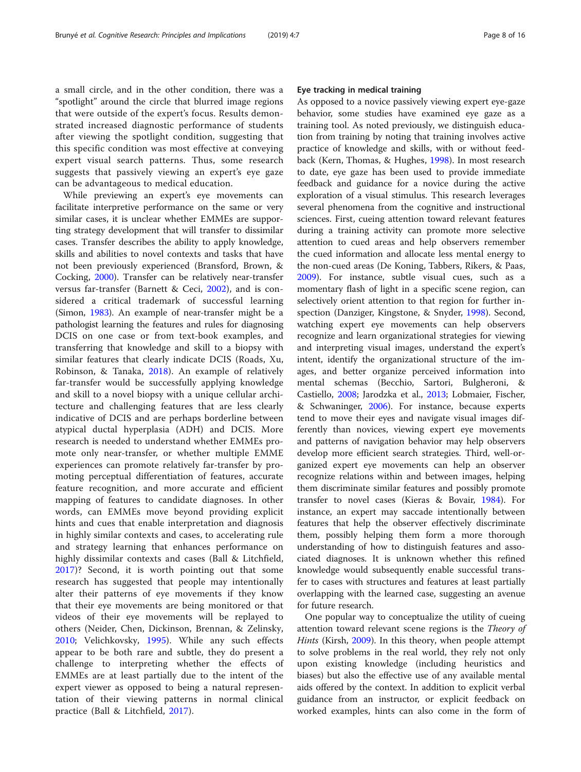a small circle, and in the other condition, there was a "spotlight" around the circle that blurred image regions that were outside of the expert's focus. Results demonstrated increased diagnostic performance of students after viewing the spotlight condition, suggesting that this specific condition was most effective at conveying expert visual search patterns. Thus, some research suggests that passively viewing an expert's eye gaze can be advantageous to medical education.

While previewing an expert's eye movements can facilitate interpretive performance on the same or very similar cases, it is unclear whether EMMEs are supporting strategy development that will transfer to dissimilar cases. Transfer describes the ability to apply knowledge, skills and abilities to novel contexts and tasks that have not been previously experienced (Bransford, Brown, & Cocking, [2000\)](#page-12-0). Transfer can be relatively near-transfer versus far-transfer (Barnett & Ceci, [2002](#page-11-0)), and is considered a critical trademark of successful learning (Simon, [1983\)](#page-15-0). An example of near-transfer might be a pathologist learning the features and rules for diagnosing DCIS on one case or from text-book examples, and transferring that knowledge and skill to a biopsy with similar features that clearly indicate DCIS (Roads, Xu, Robinson, & Tanaka, [2018](#page-15-0)). An example of relatively far-transfer would be successfully applying knowledge and skill to a novel biopsy with a unique cellular architecture and challenging features that are less clearly indicative of DCIS and are perhaps borderline between atypical ductal hyperplasia (ADH) and DCIS. More research is needed to understand whether EMMEs promote only near-transfer, or whether multiple EMME experiences can promote relatively far-transfer by promoting perceptual differentiation of features, accurate feature recognition, and more accurate and efficient mapping of features to candidate diagnoses. In other words, can EMMEs move beyond providing explicit hints and cues that enable interpretation and diagnosis in highly similar contexts and cases, to accelerating rule and strategy learning that enhances performance on highly dissimilar contexts and cases (Ball & Litchfield, [2017\)](#page-11-0)? Second, it is worth pointing out that some research has suggested that people may intentionally alter their patterns of eye movements if they know that their eye movements are being monitored or that videos of their eye movements will be replayed to others (Neider, Chen, Dickinson, Brennan, & Zelinsky, [2010;](#page-14-0) Velichkovsky, [1995](#page-15-0)). While any such effects appear to be both rare and subtle, they do present a challenge to interpreting whether the effects of EMMEs are at least partially due to the intent of the expert viewer as opposed to being a natural representation of their viewing patterns in normal clinical practice (Ball & Litchfield, [2017](#page-11-0)).

# Eye tracking in medical training

As opposed to a novice passively viewing expert eye-gaze behavior, some studies have examined eye gaze as a training tool. As noted previously, we distinguish education from training by noting that training involves active practice of knowledge and skills, with or without feedback (Kern, Thomas, & Hughes, [1998\)](#page-13-0). In most research to date, eye gaze has been used to provide immediate feedback and guidance for a novice during the active exploration of a visual stimulus. This research leverages several phenomena from the cognitive and instructional sciences. First, cueing attention toward relevant features during a training activity can promote more selective attention to cued areas and help observers remember the cued information and allocate less mental energy to the non-cued areas (De Koning, Tabbers, Rikers, & Paas, [2009](#page-12-0)). For instance, subtle visual cues, such as a momentary flash of light in a specific scene region, can selectively orient attention to that region for further inspection (Danziger, Kingstone, & Snyder, [1998\)](#page-12-0). Second, watching expert eye movements can help observers recognize and learn organizational strategies for viewing and interpreting visual images, understand the expert's intent, identify the organizational structure of the images, and better organize perceived information into mental schemas (Becchio, Sartori, Bulgheroni, & Castiello, [2008;](#page-11-0) Jarodzka et al., [2013](#page-13-0); Lobmaier, Fischer, & Schwaninger, [2006\)](#page-14-0). For instance, because experts tend to move their eyes and navigate visual images differently than novices, viewing expert eye movements and patterns of navigation behavior may help observers develop more efficient search strategies. Third, well-organized expert eye movements can help an observer recognize relations within and between images, helping them discriminate similar features and possibly promote transfer to novel cases (Kieras & Bovair, [1984](#page-13-0)). For instance, an expert may saccade intentionally between features that help the observer effectively discriminate them, possibly helping them form a more thorough understanding of how to distinguish features and associated diagnoses. It is unknown whether this refined knowledge would subsequently enable successful transfer to cases with structures and features at least partially overlapping with the learned case, suggesting an avenue for future research.

One popular way to conceptualize the utility of cueing attention toward relevant scene regions is the Theory of Hints (Kirsh, [2009](#page-13-0)). In this theory, when people attempt to solve problems in the real world, they rely not only upon existing knowledge (including heuristics and biases) but also the effective use of any available mental aids offered by the context. In addition to explicit verbal guidance from an instructor, or explicit feedback on worked examples, hints can also come in the form of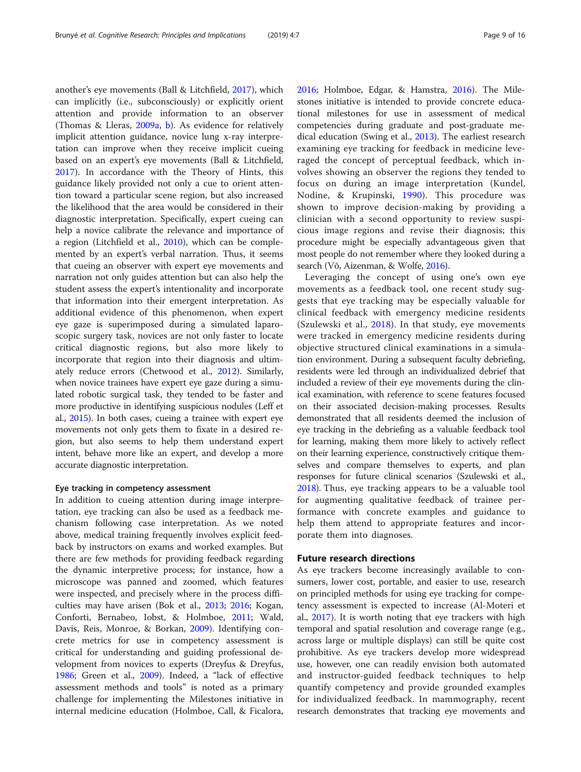another's eye movements (Ball & Litchfield, [2017\)](#page-11-0), which can implicitly (i.e., subconsciously) or explicitly orient attention and provide information to an observer (Thomas & Lleras, [2009a](#page-15-0), [b\)](#page-15-0). As evidence for relatively implicit attention guidance, novice lung x-ray interpretation can improve when they receive implicit cueing based on an expert's eye movements (Ball & Litchfield, [2017\)](#page-11-0). In accordance with the Theory of Hints, this guidance likely provided not only a cue to orient attention toward a particular scene region, but also increased the likelihood that the area would be considered in their diagnostic interpretation. Specifically, expert cueing can help a novice calibrate the relevance and importance of a region (Litchfield et al., [2010](#page-14-0)), which can be complemented by an expert's verbal narration. Thus, it seems that cueing an observer with expert eye movements and narration not only guides attention but can also help the student assess the expert's intentionality and incorporate that information into their emergent interpretation. As additional evidence of this phenomenon, when expert eye gaze is superimposed during a simulated laparoscopic surgery task, novices are not only faster to locate critical diagnostic regions, but also more likely to incorporate that region into their diagnosis and ultimately reduce errors (Chetwood et al., [2012\)](#page-12-0). Similarly, when novice trainees have expert eye gaze during a simulated robotic surgical task, they tended to be faster and more productive in identifying suspicious nodules (Leff et al., [2015](#page-14-0)). In both cases, cueing a trainee with expert eye movements not only gets them to fixate in a desired region, but also seems to help them understand expert intent, behave more like an expert, and develop a more accurate diagnostic interpretation.

# Eye tracking in competency assessment

In addition to cueing attention during image interpretation, eye tracking can also be used as a feedback mechanism following case interpretation. As we noted above, medical training frequently involves explicit feedback by instructors on exams and worked examples. But there are few methods for providing feedback regarding the dynamic interpretive process; for instance, how a microscope was panned and zoomed, which features were inspected, and precisely where in the process difficulties may have arisen (Bok et al., [2013;](#page-12-0) [2016;](#page-12-0) Kogan, Conforti, Bernabeo, Iobst, & Holmboe, [2011](#page-13-0); Wald, Davis, Reis, Monroe, & Borkan, [2009](#page-15-0)). Identifying concrete metrics for use in competency assessment is critical for understanding and guiding professional development from novices to experts (Dreyfus & Dreyfus, [1986](#page-12-0); Green et al., [2009](#page-13-0)). Indeed, a "lack of effective assessment methods and tools" is noted as a primary challenge for implementing the Milestones initiative in internal medicine education (Holmboe, Call, & Ficalora, [2016](#page-13-0); Holmboe, Edgar, & Hamstra, [2016\)](#page-13-0). The Milestones initiative is intended to provide concrete educational milestones for use in assessment of medical competencies during graduate and post-graduate medical education (Swing et al., [2013](#page-15-0)). The earliest research examining eye tracking for feedback in medicine leveraged the concept of perceptual feedback, which involves showing an observer the regions they tended to focus on during an image interpretation (Kundel, Nodine, & Krupinski, [1990\)](#page-13-0). This procedure was shown to improve decision-making by providing a clinician with a second opportunity to review suspicious image regions and revise their diagnosis; this procedure might be especially advantageous given that most people do not remember where they looked during a search (Võ, Aizenman, & Wolfe, [2016](#page-15-0)).

Leveraging the concept of using one's own eye movements as a feedback tool, one recent study suggests that eye tracking may be especially valuable for clinical feedback with emergency medicine residents (Szulewski et al., [2018\)](#page-15-0). In that study, eye movements were tracked in emergency medicine residents during objective structured clinical examinations in a simulation environment. During a subsequent faculty debriefing, residents were led through an individualized debrief that included a review of their eye movements during the clinical examination, with reference to scene features focused on their associated decision-making processes. Results demonstrated that all residents deemed the inclusion of eye tracking in the debriefing as a valuable feedback tool for learning, making them more likely to actively reflect on their learning experience, constructively critique themselves and compare themselves to experts, and plan responses for future clinical scenarios (Szulewski et al., [2018\)](#page-15-0). Thus, eye tracking appears to be a valuable tool for augmenting qualitative feedback of trainee performance with concrete examples and guidance to help them attend to appropriate features and incorporate them into diagnoses.

# Future research directions

As eye trackers become increasingly available to consumers, lower cost, portable, and easier to use, research on principled methods for using eye tracking for competency assessment is expected to increase (Al-Moteri et al., [2017](#page-11-0)). It is worth noting that eye trackers with high temporal and spatial resolution and coverage range (e.g., across large or multiple displays) can still be quite cost prohibitive. As eye trackers develop more widespread use, however, one can readily envision both automated and instructor-guided feedback techniques to help quantify competency and provide grounded examples for individualized feedback. In mammography, recent research demonstrates that tracking eye movements and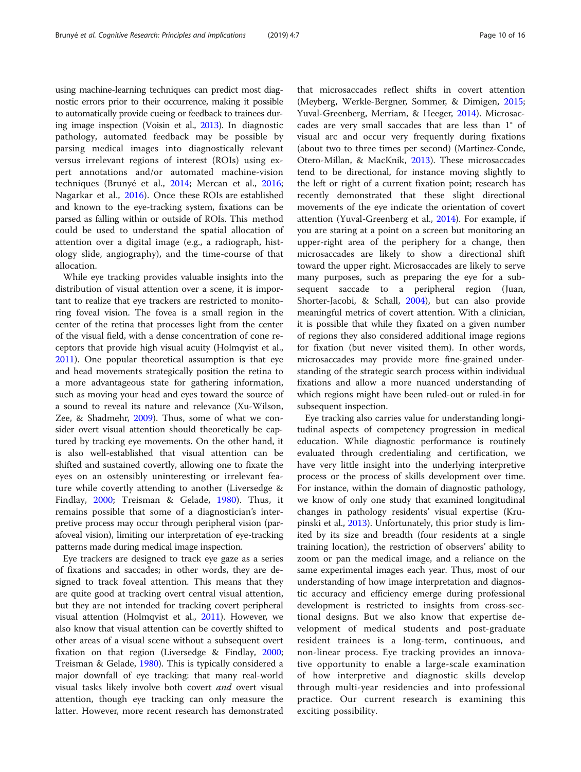using machine-learning techniques can predict most diagnostic errors prior to their occurrence, making it possible to automatically provide cueing or feedback to trainees during image inspection (Voisin et al., [2013](#page-15-0)). In diagnostic pathology, automated feedback may be possible by parsing medical images into diagnostically relevant versus irrelevant regions of interest (ROIs) using expert annotations and/or automated machine-vision techniques (Brunyé et al., [2014](#page-12-0); Mercan et al., [2016](#page-14-0); Nagarkar et al., [2016\)](#page-14-0). Once these ROIs are established and known to the eye-tracking system, fixations can be parsed as falling within or outside of ROIs. This method could be used to understand the spatial allocation of attention over a digital image (e.g., a radiograph, histology slide, angiography), and the time-course of that allocation.

While eye tracking provides valuable insights into the distribution of visual attention over a scene, it is important to realize that eye trackers are restricted to monitoring foveal vision. The fovea is a small region in the center of the retina that processes light from the center of the visual field, with a dense concentration of cone receptors that provide high visual acuity (Holmqvist et al., [2011](#page-13-0)). One popular theoretical assumption is that eye and head movements strategically position the retina to a more advantageous state for gathering information, such as moving your head and eyes toward the source of a sound to reveal its nature and relevance (Xu-Wilson, Zee, & Shadmehr, [2009\)](#page-15-0). Thus, some of what we consider overt visual attention should theoretically be captured by tracking eye movements. On the other hand, it is also well-established that visual attention can be shifted and sustained covertly, allowing one to fixate the eyes on an ostensibly uninteresting or irrelevant feature while covertly attending to another (Liversedge & Findlay, [2000;](#page-14-0) Treisman & Gelade, [1980](#page-15-0)). Thus, it remains possible that some of a diagnostician's interpretive process may occur through peripheral vision (parafoveal vision), limiting our interpretation of eye-tracking patterns made during medical image inspection.

Eye trackers are designed to track eye gaze as a series of fixations and saccades; in other words, they are designed to track foveal attention. This means that they are quite good at tracking overt central visual attention, but they are not intended for tracking covert peripheral visual attention (Holmqvist et al., [2011\)](#page-13-0). However, we also know that visual attention can be covertly shifted to other areas of a visual scene without a subsequent overt fixation on that region (Liversedge & Findlay, [2000](#page-14-0); Treisman & Gelade, [1980](#page-15-0)). This is typically considered a major downfall of eye tracking: that many real-world visual tasks likely involve both covert and overt visual attention, though eye tracking can only measure the latter. However, more recent research has demonstrated

that microsaccades reflect shifts in covert attention (Meyberg, Werkle-Bergner, Sommer, & Dimigen, [2015](#page-14-0); Yuval-Greenberg, Merriam, & Heeger, [2014](#page-15-0)). Microsaccades are very small saccades that are less than 1° of visual arc and occur very frequently during fixations (about two to three times per second) (Martinez-Conde, Otero-Millan, & MacKnik, [2013](#page-14-0)). These microsaccades tend to be directional, for instance moving slightly to the left or right of a current fixation point; research has recently demonstrated that these slight directional movements of the eye indicate the orientation of covert attention (Yuval-Greenberg et al., [2014](#page-15-0)). For example, if you are staring at a point on a screen but monitoring an upper-right area of the periphery for a change, then microsaccades are likely to show a directional shift toward the upper right. Microsaccades are likely to serve many purposes, such as preparing the eye for a subsequent saccade to a peripheral region (Juan, Shorter-Jacobi, & Schall, [2004\)](#page-13-0), but can also provide meaningful metrics of covert attention. With a clinician, it is possible that while they fixated on a given number of regions they also considered additional image regions for fixation (but never visited them). In other words, microsaccades may provide more fine-grained understanding of the strategic search process within individual fixations and allow a more nuanced understanding of which regions might have been ruled-out or ruled-in for subsequent inspection.

Eye tracking also carries value for understanding longitudinal aspects of competency progression in medical education. While diagnostic performance is routinely evaluated through credentialing and certification, we have very little insight into the underlying interpretive process or the process of skills development over time. For instance, within the domain of diagnostic pathology, we know of only one study that examined longitudinal changes in pathology residents' visual expertise (Krupinski et al., [2013](#page-13-0)). Unfortunately, this prior study is limited by its size and breadth (four residents at a single training location), the restriction of observers' ability to zoom or pan the medical image, and a reliance on the same experimental images each year. Thus, most of our understanding of how image interpretation and diagnostic accuracy and efficiency emerge during professional development is restricted to insights from cross-sectional designs. But we also know that expertise development of medical students and post-graduate resident trainees is a long-term, continuous, and non-linear process. Eye tracking provides an innovative opportunity to enable a large-scale examination of how interpretive and diagnostic skills develop through multi-year residencies and into professional practice. Our current research is examining this exciting possibility.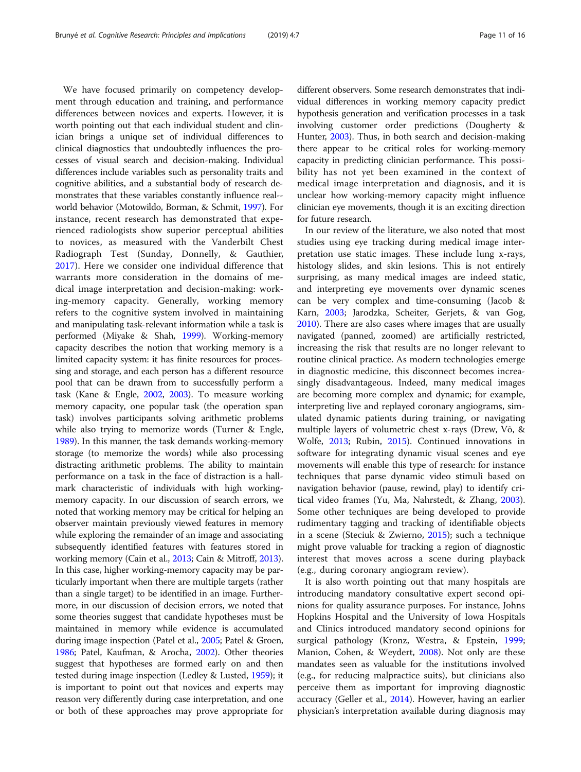We have focused primarily on competency development through education and training, and performance differences between novices and experts. However, it is worth pointing out that each individual student and clinician brings a unique set of individual differences to clinical diagnostics that undoubtedly influences the processes of visual search and decision-making. Individual differences include variables such as personality traits and cognitive abilities, and a substantial body of research demonstrates that these variables constantly influence real- world behavior (Motowildo, Borman, & Schmit, [1997](#page-14-0)). For instance, recent research has demonstrated that experienced radiologists show superior perceptual abilities to novices, as measured with the Vanderbilt Chest Radiograph Test (Sunday, Donnelly, & Gauthier, [2017\)](#page-15-0). Here we consider one individual difference that warrants more consideration in the domains of medical image interpretation and decision-making: working-memory capacity. Generally, working memory refers to the cognitive system involved in maintaining and manipulating task-relevant information while a task is performed (Miyake & Shah, [1999](#page-14-0)). Working-memory capacity describes the notion that working memory is a limited capacity system: it has finite resources for processing and storage, and each person has a different resource pool that can be drawn from to successfully perform a task (Kane & Engle, [2002,](#page-13-0) [2003\)](#page-13-0). To measure working memory capacity, one popular task (the operation span task) involves participants solving arithmetic problems while also trying to memorize words (Turner & Engle, [1989\)](#page-15-0). In this manner, the task demands working-memory storage (to memorize the words) while also processing distracting arithmetic problems. The ability to maintain performance on a task in the face of distraction is a hallmark characteristic of individuals with high workingmemory capacity. In our discussion of search errors, we noted that working memory may be critical for helping an observer maintain previously viewed features in memory while exploring the remainder of an image and associating subsequently identified features with features stored in working memory (Cain et al., [2013](#page-12-0); Cain & Mitroff, [2013](#page-12-0)). In this case, higher working-memory capacity may be particularly important when there are multiple targets (rather than a single target) to be identified in an image. Furthermore, in our discussion of decision errors, we noted that some theories suggest that candidate hypotheses must be maintained in memory while evidence is accumulated during image inspection (Patel et al., [2005;](#page-14-0) Patel & Groen, [1986;](#page-14-0) Patel, Kaufman, & Arocha, [2002](#page-14-0)). Other theories suggest that hypotheses are formed early on and then tested during image inspection (Ledley & Lusted, [1959\)](#page-14-0); it is important to point out that novices and experts may reason very differently during case interpretation, and one or both of these approaches may prove appropriate for

different observers. Some research demonstrates that individual differences in working memory capacity predict hypothesis generation and verification processes in a task involving customer order predictions (Dougherty & Hunter, [2003\)](#page-12-0). Thus, in both search and decision-making there appear to be critical roles for working-memory capacity in predicting clinician performance. This possibility has not yet been examined in the context of medical image interpretation and diagnosis, and it is unclear how working-memory capacity might influence clinician eye movements, though it is an exciting direction for future research.

In our review of the literature, we also noted that most studies using eye tracking during medical image interpretation use static images. These include lung x-rays, histology slides, and skin lesions. This is not entirely surprising, as many medical images are indeed static, and interpreting eye movements over dynamic scenes can be very complex and time-consuming (Jacob & Karn, [2003](#page-13-0); Jarodzka, Scheiter, Gerjets, & van Gog, [2010](#page-13-0)). There are also cases where images that are usually navigated (panned, zoomed) are artificially restricted, increasing the risk that results are no longer relevant to routine clinical practice. As modern technologies emerge in diagnostic medicine, this disconnect becomes increasingly disadvantageous. Indeed, many medical images are becoming more complex and dynamic; for example, interpreting live and replayed coronary angiograms, simulated dynamic patients during training, or navigating multiple layers of volumetric chest x-rays (Drew, Võ, & Wolfe, [2013](#page-12-0); Rubin, [2015](#page-15-0)). Continued innovations in software for integrating dynamic visual scenes and eye movements will enable this type of research: for instance techniques that parse dynamic video stimuli based on navigation behavior (pause, rewind, play) to identify critical video frames (Yu, Ma, Nahrstedt, & Zhang, [2003](#page-15-0)). Some other techniques are being developed to provide rudimentary tagging and tracking of identifiable objects in a scene (Steciuk & Zwierno, [2015](#page-15-0)); such a technique might prove valuable for tracking a region of diagnostic interest that moves across a scene during playback (e.g., during coronary angiogram review).

It is also worth pointing out that many hospitals are introducing mandatory consultative expert second opinions for quality assurance purposes. For instance, Johns Hopkins Hospital and the University of Iowa Hospitals and Clinics introduced mandatory second opinions for surgical pathology (Kronz, Westra, & Epstein, [1999](#page-13-0); Manion, Cohen, & Weydert, [2008](#page-14-0)). Not only are these mandates seen as valuable for the institutions involved (e.g., for reducing malpractice suits), but clinicians also perceive them as important for improving diagnostic accuracy (Geller et al., [2014\)](#page-12-0). However, having an earlier physician's interpretation available during diagnosis may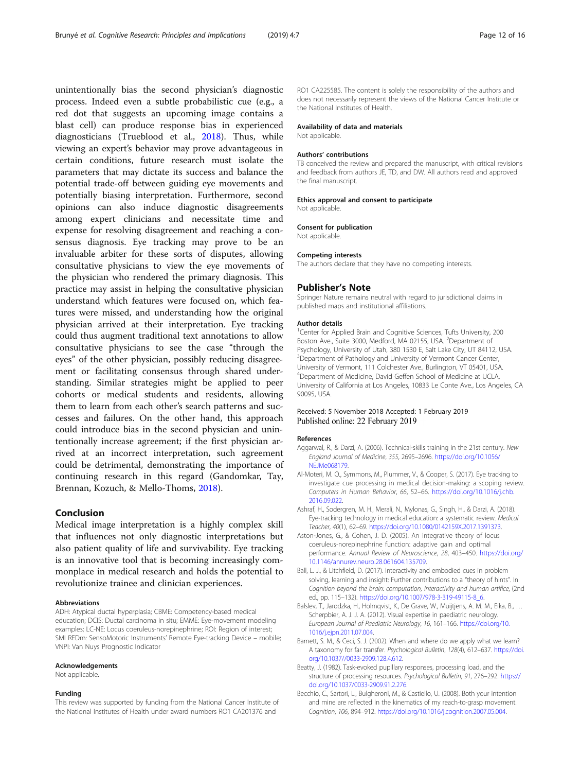<span id="page-11-0"></span>unintentionally bias the second physician's diagnostic process. Indeed even a subtle probabilistic cue (e.g., a red dot that suggests an upcoming image contains a blast cell) can produce response bias in experienced diagnosticians (Trueblood et al., [2018\)](#page-15-0). Thus, while viewing an expert's behavior may prove advantageous in certain conditions, future research must isolate the parameters that may dictate its success and balance the potential trade-off between guiding eye movements and potentially biasing interpretation. Furthermore, second opinions can also induce diagnostic disagreements among expert clinicians and necessitate time and expense for resolving disagreement and reaching a consensus diagnosis. Eye tracking may prove to be an invaluable arbiter for these sorts of disputes, allowing consultative physicians to view the eye movements of the physician who rendered the primary diagnosis. This practice may assist in helping the consultative physician understand which features were focused on, which features were missed, and understanding how the original physician arrived at their interpretation. Eye tracking could thus augment traditional text annotations to allow consultative physicians to see the case "through the eyes" of the other physician, possibly reducing disagreement or facilitating consensus through shared understanding. Similar strategies might be applied to peer cohorts or medical students and residents, allowing them to learn from each other's search patterns and successes and failures. On the other hand, this approach could introduce bias in the second physician and unintentionally increase agreement; if the first physician arrived at an incorrect interpretation, such agreement could be detrimental, demonstrating the importance of continuing research in this regard (Gandomkar, Tay, Brennan, Kozuch, & Mello-Thoms, [2018](#page-12-0)).

# Conclusion

Medical image interpretation is a highly complex skill that influences not only diagnostic interpretations but also patient quality of life and survivability. Eye tracking is an innovative tool that is becoming increasingly commonplace in medical research and holds the potential to revolutionize trainee and clinician experiences.

### Abbreviations

ADH: Atypical ductal hyperplasia; CBME: Competency-based medical education; DCIS: Ductal carcinoma in situ; EMME: Eye-movement modeling examples; LC-NE: Locus coeruleus-norepinephrine; ROI: Region of interest; SMI REDm: SensoMotoric Instruments' Remote Eye-tracking Device – mobile; VNPI: Van Nuys Prognostic Indicator

# Acknowledgements

Not applicable.

### Funding

This review was supported by funding from the National Cancer Institute of the National Institutes of Health under award numbers RO1 CA201376 and

RO1 CA225585. The content is solely the responsibility of the authors and does not necessarily represent the views of the National Cancer Institute or the National Institutes of Health.

# Availability of data and materials

Not applicable.

# Authors' contributions

TB conceived the review and prepared the manuscript, with critical revisions and feedback from authors JE, TD, and DW. All authors read and approved the final manuscript.

### Ethics approval and consent to participate

Not applicable.

# Consent for publication

Not applicable.

# Competing interests

The authors declare that they have no competing interests.

# Publisher's Note

Springer Nature remains neutral with regard to jurisdictional claims in published maps and institutional affiliations.

# Author details

<sup>1</sup> Center for Applied Brain and Cognitive Sciences, Tufts University, 200 Boston Ave., Suite 3000, Medford, MA 02155, USA. <sup>2</sup>Department of Psychology, University of Utah, 380 1530 E, Salt Lake City, UT 84112, USA. <sup>3</sup> Department of Pathology and University of Vermont Cancer Center, University of Vermont, 111 Colchester Ave., Burlington, VT 05401, USA. 4 Department of Medicine, David Geffen School of Medicine at UCLA, University of California at Los Angeles, 10833 Le Conte Ave., Los Angeles, CA 90095, USA.

# Received: 5 November 2018 Accepted: 1 February 2019 Published online: 22 February 2019

### References

- Aggarwal, R., & Darzi, A. (2006). Technical-skills training in the 21st century. New England Journal of Medicine, 355, 2695–2696. [https://doi.org/10.1056/](https://doi.org/10.1056/NEJMe068179) [NEJMe068179](https://doi.org/10.1056/NEJMe068179).
- Al-Moteri, M. O., Symmons, M., Plummer, V., & Cooper, S. (2017). Eye tracking to investigate cue processing in medical decision-making: a scoping review. Computers in Human Behavior, 66, 52–66. [https://doi.org/10.1016/j.chb.](https://doi.org/10.1016/j.chb.2016.09.022) [2016.09.022.](https://doi.org/10.1016/j.chb.2016.09.022)
- Ashraf, H., Sodergren, M. H., Merali, N., Mylonas, G., Singh, H., & Darzi, A. (2018). Eye-tracking technology in medical education: a systematic review. Medical Teacher, 40(1), 62–69. [https://doi.org/10.1080/0142159X.2017.1391373.](https://doi.org/10.1080/0142159X.2017.1391373)
- Aston-Jones, G., & Cohen, J. D. (2005). An integrative theory of locus coeruleus-norepinephrine function: adaptive gain and optimal performance. Annual Review of Neuroscience, 28, 403–450. [https://doi.org/](https://doi.org/10.1146/annurev.neuro.28.061604.135709) [10.1146/annurev.neuro.28.061604.135709.](https://doi.org/10.1146/annurev.neuro.28.061604.135709)
- Ball, L. J., & Litchfield, D. (2017). Interactivity and embodied cues in problem solving, learning and insight: Further contributions to a "theory of hints". In Cognition beyond the brain: computation, interactivity and human artifice, (2nd ed., pp. 115–132). [https://doi.org/10.1007/978-3-319-49115-8\\_6.](https://doi.org/10.1007/978-3-319-49115-8_6)
- Balslev, T., Jarodzka, H., Holmqvist, K., De Grave, W., Muijtjens, A. M. M., Eika, B., … Scherpbier, A. J. J. A. (2012). Visual expertise in paediatric neurology. European Journal of Paediatric Neurology, 16, 161–166. [https://doi.org/10.](https://doi.org/10.1016/j.ejpn.2011.07.004) [1016/j.ejpn.2011.07.004](https://doi.org/10.1016/j.ejpn.2011.07.004).
- Barnett, S. M., & Ceci, S. J. (2002). When and where do we apply what we learn? A taxonomy for far transfer. Psychological Bulletin, 128(4), 612–637. [https://doi.](https://doi.org/10.1037//0033-2909.128.4.612) [org/10.1037//0033-2909.128.4.612](https://doi.org/10.1037//0033-2909.128.4.612).
- Beatty, J. (1982). Task-evoked pupillary responses, processing load, and the structure of processing resources. Psychological Bulletin, 91, 276–292. [https://](https://doi.org/10.1037/0033-2909.91.2.276) [doi.org/10.1037/0033-2909.91.2.276.](https://doi.org/10.1037/0033-2909.91.2.276)
- Becchio, C., Sartori, L., Bulgheroni, M., & Castiello, U. (2008). Both your intention and mine are reflected in the kinematics of my reach-to-grasp movement. Cognition, 106, 894–912. [https://doi.org/10.1016/j.cognition.2007.05.004.](https://doi.org/10.1016/j.cognition.2007.05.004)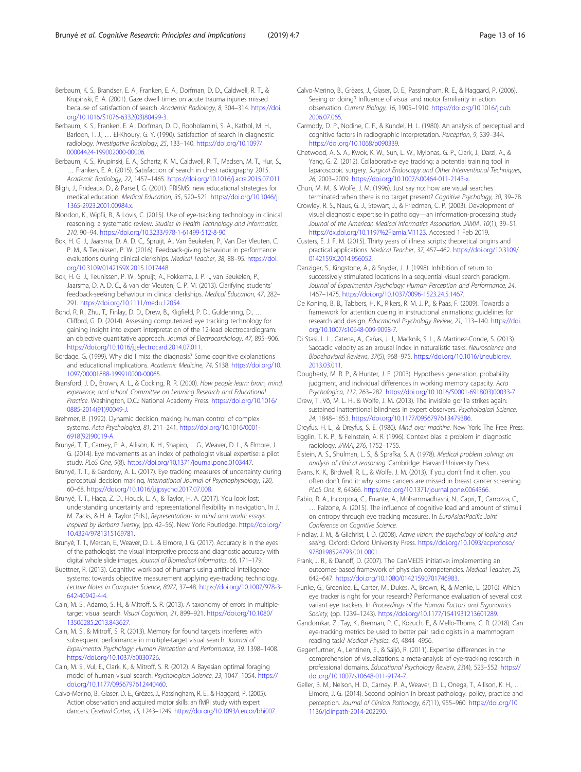<span id="page-12-0"></span>Berbaum, K. S., Brandser, E. A., Franken, E. A., Dorfman, D. D., Caldwell, R. T., & Krupinski, E. A. (2001). Gaze dwell times on acute trauma injuries missed because of satisfaction of search. Academic Radiology, 8, 304–314. [https://doi.](https://doi.org/10.1016/S1076-6332(03)80499-3) [org/10.1016/S1076-6332\(03\)80499-3.](https://doi.org/10.1016/S1076-6332(03)80499-3)

- Berbaum, K. S., Franken, E. A., Dorfman, D. D., Rooholamini, S. A., Kathol, M. H., Barloon, T. J., ... El-Khoury, G. Y. (1990). Satisfaction of search in diagnostic radiology. Investigative Radiology, 25, 133–140. [https://doi.org/10.1097/](https://doi.org/10.1097/00004424-199002000-00006) [00004424-199002000-00006.](https://doi.org/10.1097/00004424-199002000-00006)
- Berbaum, K. S., Krupinski, E. A., Schartz, K. M., Caldwell, R. T., Madsen, M. T., Hur, S., … Franken, E. A. (2015). Satisfaction of search in chest radiography 2015. Academic Radiology, 22, 1457–1465. <https://doi.org/10.1016/j.acra.2015.07.011>.
- Bligh, J., Prideaux, D., & Parsell, G. (2001). PRISMS: new educational strategies for medical education. Medical Education, 35, 520–521. [https://doi.org/10.1046/j.](https://doi.org/10.1046/j.1365-2923.2001.00984.x) [1365-2923.2001.00984.x](https://doi.org/10.1046/j.1365-2923.2001.00984.x).
- Blondon, K., Wipfli, R., & Lovis, C. (2015). Use of eye-tracking technology in clinical reasoning: a systematic review. Studies in Health Technology and Informatics, 210, 90–94. <https://doi.org/10.3233/978-1-61499-512-8-90>.
- Bok, H. G. J., Jaarsma, D. A. D. C., Spruijt, A., Van Beukelen, P., Van Der Vleuten, C. P. M., & Teunissen, P. W. (2016). Feedback-giving behaviour in performance evaluations during clinical clerkships. Medical Teacher, 38, 88–95. [https://doi.](https://doi.org/10.3109/0142159X.2015.1017448) [org/10.3109/0142159X.2015.1017448.](https://doi.org/10.3109/0142159X.2015.1017448)
- Bok, H. G. J., Teunissen, P. W., Spruijt, A., Fokkema, J. P. I., van Beukelen, P., Jaarsma, D. A. D. C., & van der Vleuten, C. P. M. (2013). Clarifying students' feedback-seeking behaviour in clinical clerkships. Medical Education, 47, 282– 291. <https://doi.org/10.1111/medu.12054>.
- Bond, R. R., Zhu, T., Finlay, D. D., Drew, B., Kligfield, P. D., Guldenring, D., … Clifford, G. D. (2014). Assessing computerized eye tracking technology for gaining insight into expert interpretation of the 12-lead electrocardiogram: an objective quantitative approach. Journal of Electrocardiology, 47, 895–906. <https://doi.org/10.1016/j.jelectrocard.2014.07.011>.
- Bordage, G. (1999). Why did I miss the diagnosis? Some cognitive explanations and educational implications. Academic Medicine, 74, S138. [https://doi.org/10.](https://doi.org/10.1097/00001888-199910000-00065) [1097/00001888-199910000-00065](https://doi.org/10.1097/00001888-199910000-00065).
- Bransford, J. D., Brown, A. L., & Cocking, R. R. (2000). How people learn: brain, mind, experience, and school. Committee on Learning Research and Educational Practice. Washington, D.C.: National Academy Press. [https://doi.org/10.1016/](https://doi.org/10.1016/0885-2014(91)90049-J) [0885-2014\(91\)90049-J](https://doi.org/10.1016/0885-2014(91)90049-J).

Brehmer, B. (1992). Dynamic decision making: human control of complex systems. Acta Psychologica, 81, 211–241. [https://doi.org/10.1016/0001-](https://doi.org/10.1016/0001-6918(92)90019-A) [6918\(92\)90019-A](https://doi.org/10.1016/0001-6918(92)90019-A).

- Brunyé, T. T., Carney, P. A., Allison, K. H., Shapiro, L. G., Weaver, D. L., & Elmore, J. G. (2014). Eye movements as an index of pathologist visual expertise: a pilot study. PLoS One, 9(8). <https://doi.org/10.1371/journal.pone.0103447>.
- Brunyé, T. T., & Gardony, A. L. (2017). Eye tracking measures of uncertainty during perceptual decision making. International Journal of Psychophysiology, 120, 60–68. [https://doi.org/10.1016/j.ijpsycho.2017.07.008.](https://doi.org/10.1016/j.ijpsycho.2017.07.008)
- Brunyé, T. T., Haga, Z. D., Houck, L. A., & Taylor, H. A. (2017). You look lost: understanding uncertainty and representational flexibility in navigation. In J. M. Zacks, & H. A. Taylor (Eds.), Representations in mind and world: essays inspired by Barbara Tversky, (pp. 42–56). New York: Routledge. [https://doi.org/](https://doi.org/10.4324/9781315169781) [10.4324/9781315169781](https://doi.org/10.4324/9781315169781).
- Brunyé, T. T., Mercan, E., Weaver, D. L., & Elmore, J. G. (2017). Accuracy is in the eyes of the pathologist: the visual interpretive process and diagnostic accuracy with digital whole slide images. Journal of Biomedical Informatics, 66, 171–179.
- Buettner, R. (2013). Cognitive workload of humans using artificial intelligence systems: towards objective measurement applying eye-tracking technology. Lecture Notes in Computer Science, 8077, 37–48. [https://doi.org/10.1007/978-3-](https://doi.org/10.1007/978-3-642-40942-4-4) [642-40942-4-4](https://doi.org/10.1007/978-3-642-40942-4-4).
- Cain, M. S., Adamo, S. H., & Mitroff, S. R. (2013). A taxonomy of errors in multipletarget visual search. Visual Cognition, 21, 899–921. [https://doi.org/10.1080/](https://doi.org/10.1080/13506285.2013.843627) [13506285.2013.843627](https://doi.org/10.1080/13506285.2013.843627).
- Cain, M. S., & Mitroff, S. R. (2013). Memory for found targets interferes with subsequent performance in multiple-target visual search. Journal of Experimental Psychology: Human Perception and Performance, 39, 1398–1408. [https://doi.org/10.1037/a0030726.](https://doi.org/10.1037/a0030726)
- Cain, M. S., Vul, E., Clark, K., & Mitroff, S. R. (2012). A Bayesian optimal foraging model of human visual search. Psychological Science, 23, 1047–1054. [https://](https://doi.org/10.1177/0956797612440460) [doi.org/10.1177/0956797612440460.](https://doi.org/10.1177/0956797612440460)
- Calvo-Merino, B., Glaser, D. E., Grèzes, J., Passingham, R. E., & Haggard, P. (2005). Action observation and acquired motor skills: an fMRI study with expert dancers. Cerebral Cortex, 15, 1243–1249. <https://doi.org/10.1093/cercor/bhi007>.
- Calvo-Merino, B., Grèzes, J., Glaser, D. E., Passingham, R. E., & Haggard, P. (2006). Seeing or doing? Influence of visual and motor familiarity in action observation. Current Biology, 16, 1905–1910. [https://doi.org/10.1016/j.cub.](https://doi.org/10.1016/j.cub.2006.07.065) [2006.07.065.](https://doi.org/10.1016/j.cub.2006.07.065)
- Carmody, D. P., Nodine, C. F., & Kundel, H. L. (1980). An analysis of perceptual and cognitive factors in radiographic interpretation. Perception, 9, 339–344. <https://doi.org/10.1068/p090339>.
- Chetwood, A. S. A., Kwok, K. W., Sun, L. W., Mylonas, G. P., Clark, J., Darzi, A., & Yang, G. Z. (2012). Collaborative eye tracking: a potential training tool in laparoscopic surgery. Surgical Endoscopy and Other Interventional Techniques, 26, 2003–2009. [https://doi.org/10.1007/s00464-011-2143-x.](https://doi.org/10.1007/s00464-011-2143-x)
- Chun, M. M., & Wolfe, J. M. (1996). Just say no: how are visual searches terminated when there is no target present? Cognitive Psychology, 30, 39–78.
- Crowley, R. S., Naus, G. J., Stewart, J., & Friedman, C. P. (2003). Development of visual diagnostic expertise in pathology—an information-processing study. Journal of the American Medical Informatics Association: JAMIA, 10(1), 39–51. [https://dx.doi.org/10.1197%2Fjamia.M1123.](https://dx.doi.org/10.1197%2Fjamia.M1123) Accessed 1 Feb 2019.
- Custers, E. J. F. M. (2015). Thirty years of illness scripts: theoretical origins and practical applications. Medical Teacher, 37, 457–462. [https://doi.org/10.3109/](https://doi.org/10.3109/0142159X.2014.956052) [0142159X.2014.956052.](https://doi.org/10.3109/0142159X.2014.956052)
- Danziger, S., Kingstone, A., & Snyder, J. J. (1998). Inhibition of return to successively stimulated locations in a sequential visual search paradigm. Journal of Experimental Psychology: Human Perception and Performance, 24, 1467–1475. [https://doi.org/10.1037/0096-1523.24.5.1467.](https://doi.org/10.1037/0096-1523.24.5.1467)
- De Koning, B. B., Tabbers, H. K., Rikers, R. M. J. P., & Paas, F. (2009). Towards a framework for attention cueing in instructional animations: guidelines for research and design. Educational Psychology Review, 21, 113–140. [https://doi.](https://doi.org/10.1007/s10648-009-9098-7) [org/10.1007/s10648-009-9098-7](https://doi.org/10.1007/s10648-009-9098-7).
- Di Stasi, L. L., Catena, A., Cañas, J. J., Macknik, S. L., & Martinez-Conde, S. (2013). Saccadic velocity as an arousal index in naturalistic tasks. Neuroscience and Biobehavioral Reviews, 37(5), 968–975. [https://doi.org/10.1016/j.neubiorev.](https://doi.org/10.1016/j.neubiorev.2013.03.011) [2013.03.011.](https://doi.org/10.1016/j.neubiorev.2013.03.011)
- Dougherty, M. R. P., & Hunter, J. E. (2003). Hypothesis generation, probability judgment, and individual differences in working memory capacity. Acta Psychologica, 112, 263–282. [https://doi.org/10.1016/S0001-6918\(03\)00033-7](https://doi.org/10.1016/S0001-6918(03)00033-7).
- Drew, T., Võ, M. L. H., & Wolfe, J. M. (2013). The invisible gorilla strikes again: sustained inattentional blindness in expert observers. Psychological Science, 24, 1848–1853. [https://doi.org/10.1177/0956797613479386.](https://doi.org/10.1177/0956797613479386)
- Dreyfus, H. L., & Dreyfus, S. E. (1986). Mind over machine. New York: The Free Press. Egglin, T. K. P., & Feinstein, A. R. (1996). Context bias: a problem in diagnostic radiology. JAMA, 276, 1752–1755.
- Elstein, A. S., Shulman, L. S., & Sprafka, S. A. (1978). Medical problem solving: an analysis of clinical reasoning. Cambridge: Harvard University Press.
- Evans, K. K., Birdwell, R. L., & Wolfe, J. M. (2013). If you don't find it often, you often don't find it: why some cancers are missed in breast cancer screening. PLoS One, 8, 64366. <https://doi.org/10.1371/journal.pone.0064366>.
- Fabio, R. A., Incorpora, C., Errante, A., Mohammadhasni, N., Capri, T., Carrozza, C., … Falzone, A. (2015). The influence of cognitive load and amount of stimuli on entropy through eye tracking measures. In EuroAsianPacific Joint Conference on Cognitive Science.
- Findlay, J. M., & Gilchrist, I. D. (2008). Active vision: the psychology of looking and seeing. Oxford: Oxford University Press. [https://doi.org/10.1093/acprof:oso/](https://doi.org/10.1093/acprof:oso/9780198524793.001.0001) [9780198524793.001.0001](https://doi.org/10.1093/acprof:oso/9780198524793.001.0001).
- Frank, J. R., & Danoff, D. (2007). The CanMEDS initiative: implementing an outcomes-based framework of physician competencies. Medical Teacher, 29, 642–647. <https://doi.org/10.1080/01421590701746983>.
- Funke, G., Greenlee, E., Carter, M., Dukes, A., Brown, R., & Menke, L. (2016). Which eye tracker is right for your research? Performance evaluation of several cost variant eye trackers. In Proceedings of the Human Factors and Ergonomics Society, (pp. 1239–1243). [https://doi.org/10.1177/1541931213601289.](https://doi.org/10.1177/1541931213601289)
- Gandomkar, Z., Tay, K., Brennan, P. C., Kozuch, E., & Mello-Thoms, C. R. (2018). Can eye-tracking metrics be used to better pair radiologists in a mammogram reading task? Medical Physics, 45, 4844–4956.
- Gegenfurtner, A., Lehtinen, E., & Säljö, R. (2011). Expertise differences in the comprehension of visualizations: a meta-analysis of eye-tracking research in professional domains. Educational Psychology Review, 23(4), 523–552. [https://](https://doi.org/10.1007/s10648-011-9174-7) [doi.org/10.1007/s10648-011-9174-7.](https://doi.org/10.1007/s10648-011-9174-7)
- Geller, B. M., Nelson, H. D., Carney, P. A., Weaver, D. L., Onega, T., Allison, K. H., … Elmore, J. G. (2014). Second opinion in breast pathology: policy, practice and perception. Journal of Clinical Pathology, 67(11), 955–960. [https://doi.org/10.](https://doi.org/10.1136/jclinpath-2014-202290) [1136/jclinpath-2014-202290](https://doi.org/10.1136/jclinpath-2014-202290).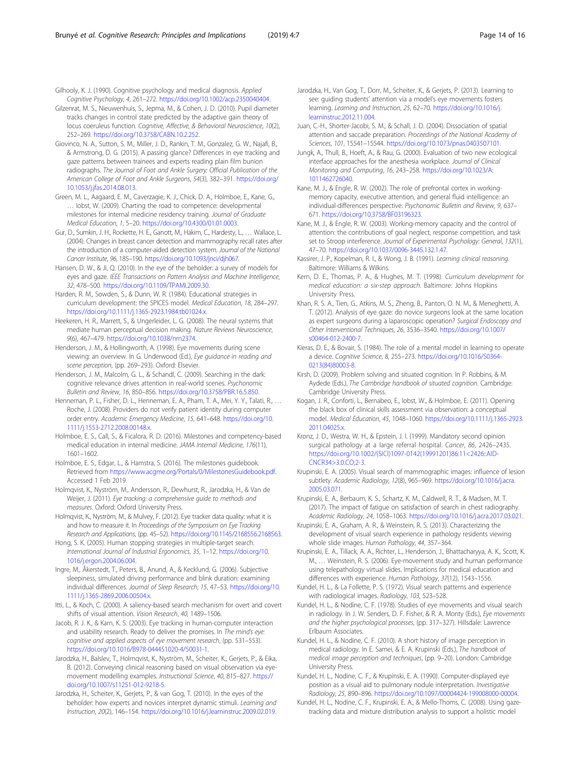<span id="page-13-0"></span>Gilhooly, K. J. (1990). Cognitive psychology and medical diagnosis. Applied Cognitive Psychology, 4, 261–272. <https://doi.org/10.1002/acp.2350040404>.

- Gilzenrat, M. S., Nieuwenhuis, S., Jepma, M., & Cohen, J. D. (2010). Pupil diameter tracks changes in control state predicted by the adaptive gain theory of locus coeruleus function. Cognitive, Affective, & Behavioral Neuroscience, 10(2), 252–269. [https://doi.org/10.3758/CABN.10.2.252.](https://doi.org/10.3758/CABN.10.2.252)
- Giovinco, N. A., Sutton, S. M., Miller, J. D., Rankin, T. M., Gonzalez, G. W., Najafi, B., & Armstrong, D. G. (2015). A passing glance? Differences in eye tracking and gaze patterns between trainees and experts reading plain film bunion radiographs. The Journal of Foot and Ankle Surgery: Official Publication of the American College of Foot and Ankle Surgeons, 54(3), 382–391. [https://doi.org/](https://doi.org/10.1053/j.jfas.2014.08.013) [10.1053/j.jfas.2014.08.013.](https://doi.org/10.1053/j.jfas.2014.08.013)
- Green, M. L., Aagaard, E. M., Caverzagie, K. J., Chick, D. A., Holmboe, E., Kane, G., … Iobst, W. (2009). Charting the road to competence: developmental milestones for internal medicine residency training. Journal of Graduate Medical Education, 1, 5–20. <https://doi.org/10.4300/01.01.0003>.
- Gur, D., Sumkin, J. H., Rockette, H. E., Ganott, M., Hakim, C., Hardesty, L., … Wallace, L. (2004). Changes in breast cancer detection and mammography recall rates after the introduction of a computer-aided detection system. Journal of the National Cancer Institute, 96, 185–190. <https://doi.org/10.1093/jnci/djh067>.
- Hansen, D. W., & Ji, Q. (2010). In the eye of the beholder: a survey of models for eyes and gaze. IEEE Transactions on Pattern Analysis and Machine Intelligence, 32, 478–500. [https://doi.org/10.1109/TPAMI.2009.30.](https://doi.org/10.1109/TPAMI.2009.30)
- Harden, R. M., Sowden, S., & Dunn, W. R. (1984). Educational strategies in curriculum development: the SPICES model. Medical Education, 18, 284–297. <https://doi.org/10.1111/j.1365-2923.1984.tb01024.x>.
- Heekeren, H. R., Marrett, S., & Ungerleider, L. G. (2008). The neural systems that mediate human perceptual decision making. Nature Reviews Neuroscience, 9(6), 467–479. <https://doi.org/10.1038/nrn2374>.
- Henderson, J. M., & Hollingworth, A. (1998). Eye movements during scene viewing: an overview. In G. Underwood (Ed.), Eye guidance in reading and scene perception, (pp. 269–293). Oxford: Elsevier.
- Henderson, J. M., Malcolm, G. L., & Schandl, C. (2009). Searching in the dark: cognitive relevance drives attention in real-world scenes. Psychonomic Bulletin and Review, 16, 850–856. [https://doi.org/10.3758/PBR.16.5.850.](https://doi.org/10.3758/PBR.16.5.850)
- Henneman, P. L., Fisher, D. L., Henneman, E. A., Pham, T. A., Mei, Y. Y., Talati, R., … Roche, J. (2008). Providers do not verify patient identity during computer order entry. Academic Emergency Medicine, 15, 641–648. [https://doi.org/10.](https://doi.org/10.1111/j.1553-2712.2008.00148.x) [1111/j.1553-2712.2008.00148.x](https://doi.org/10.1111/j.1553-2712.2008.00148.x).
- Holmboe, E. S., Call, S., & Ficalora, R. D. (2016). Milestones and competency-based medical education in internal medicine. JAMA Internal Medicine, 176(11), 1601–1602.
- Holmboe, E. S., Edgar, L., & Hamstra, S. (2016). The milestones guidebook. Retrieved from <https://www.acgme.org/Portals/0/MilestonesGuidebook.pdf>. Accessed 1 Feb 2019.
- Holmqvist, K., Nyström, M., Andersson, R., Dewhurst, R., Jarodzka, H., & Van de Weijer, J. (2011). Eye tracking: a comprehensive guide to methods and measures. Oxford: Oxford University Press.
- Holmqvist, K., Nyström, M., & Mulvey, F. (2012). Eye tracker data quality: what it is and how to measure it. In Proceedings of the Symposium on Eye Tracking Research and Applications, (pp. 45–52). [https://doi.org/10.1145/2168556.2168563.](https://doi.org/10.1145/2168556.2168563)
- Hong, S. K. (2005). Human stopping strategies in multiple-target search. International Journal of Industrial Ergonomics, 35, 1–12. [https://doi.org/10.](https://doi.org/10.1016/j.ergon.2004.06.004) [1016/j.ergon.2004.06.004.](https://doi.org/10.1016/j.ergon.2004.06.004)
- Ingre, M., Åkerstedt, T., Peters, B., Anund, A., & Kecklund, G. (2006). Subjective sleepiness, simulated driving performance and blink duration: examining individual differences. Journal of Sleep Research, 15, 47–53. [https://doi.org/10.](https://doi.org/10.1111/j.1365-2869.2006.00504.x) [1111/j.1365-2869.2006.00504.x](https://doi.org/10.1111/j.1365-2869.2006.00504.x).
- Itti, L., & Koch, C. (2000). A saliency-based search mechanism for overt and covert shifts of visual attention. Vision Research, 40, 1489–1506.
- Jacob, R. J. K., & Karn, K. S. (2003). Eye tracking in human-computer interaction and usability research. Ready to deliver the promises. In The mind's eye: cognitive and applied aspects of eye movement research, (pp. 531–553). [https://doi.org/10.1016/B978-044451020-4/50031-1.](https://doi.org/10.1016/B978-044451020-4/50031-1)
- Jarodzka, H., Balslev, T., Holmqvist, K., Nyström, M., Scheiter, K., Gerjets, P., & Eika, B. (2012). Conveying clinical reasoning based on visual observation via eyemovement modelling examples. Instructional Science, 40, 815–827. [https://](https://doi.org/10.1007/s11251-012-9218-5) [doi.org/10.1007/s11251-012-9218-5](https://doi.org/10.1007/s11251-012-9218-5).
- Jarodzka, H., Scheiter, K., Gerjets, P., & van Gog, T. (2010). In the eyes of the beholder: how experts and novices interpret dynamic stimuli. Learning and Instruction, 20(2), 146–154. <https://doi.org/10.1016/j.learninstruc.2009.02.019>.
- Jarodzka, H., Van Gog, T., Dorr, M., Scheiter, K., & Gerjets, P. (2013). Learning to see: guiding students' attention via a model's eye movements fosters learning. Learning and Instruction, 25, 62–70. [https://doi.org/10.1016/j.](https://doi.org/10.1016/j.learninstruc.2012.11.004) [learninstruc.2012.11.004.](https://doi.org/10.1016/j.learninstruc.2012.11.004)
- Juan, C.-H., Shorter-Jacobi, S. M., & Schall, J. D. (2004). Dissociation of spatial attention and saccade preparation. Proceedings of the National Academy of Sciences, 101, 15541–15544. [https://doi.org/10.1073/pnas.0403507101.](https://doi.org/10.1073/pnas.0403507101)
- Jungk, A., Thull, B., Hoeft, A., & Rau, G. (2000). Evaluation of two new ecological interface approaches for the anesthesia workplace. Journal of Clinical Monitoring and Computing, 16, 243–258. [https://doi.org/10.1023/A:](https://doi.org/10.1023/A:1011462726040) [1011462726040](https://doi.org/10.1023/A:1011462726040).
- Kane, M. J., & Engle, R. W. (2002). The role of prefrontal cortex in workingmemory capacity, executive attention, and general fluid intelligence: an individual-differences perspective. Psychonomic Bulletin and Review, 9, 637– 671. [https://doi.org/10.3758/BF03196323.](https://doi.org/10.3758/BF03196323)
- Kane, M. J., & Engle, R. W. (2003). Working-memory capacity and the control of attention: the contributions of goal neglect, response competition, and task set to Stroop interference. Journal of Experimental Psychology: General, 132(1), 47–70. [https://doi.org/10.1037/0096-3445.132.1.47.](https://doi.org/10.1037/0096-3445.132.1.47)
- Kassirer, J. P., Kopelman, R. I., & Wong, J. B. (1991). Learning clinical reasoning. Baltimore: Williams & Wilkins.
- Kern, D. E., Thomas, P. A., & Hughes, M. T. (1998). Curriculum development for medical education: a six-step approach. Baltimore: Johns Hopkins University Press.
- Khan, R. S. A., Tien, G., Atkins, M. S., Zheng, B., Panton, O. N. M., & Meneghetti, A. T. (2012). Analysis of eye gaze: do novice surgeons look at the same location as expert surgeons during a laparoscopic operation? Surgical Endoscopy and Other Interventional Techniques, 26, 3536–3540. [https://doi.org/10.1007/](https://doi.org/10.1007/s00464-012-2400-7) [s00464-012-2400-7.](https://doi.org/10.1007/s00464-012-2400-7)
- Kieras, D. E., & Bovair, S. (1984). The role of a mental model in learning to operate a device. Cognitive Science, 8, 255–273. [https://doi.org/10.1016/S0364-](https://doi.org/10.1016/S0364-0213(84)80003-8) [0213\(84\)80003-8](https://doi.org/10.1016/S0364-0213(84)80003-8).
- Kirsh, D. (2009). Problem solving and situated cognition. In P. Robbins, & M. Aydede (Eds.), The Cambridge handbook of situated cognition. Cambridge: Cambridge University Press.
- Kogan, J. R., Conforti, L., Bernabeo, E., Iobst, W., & Holmboe, E. (2011). Opening the black box of clinical skills assessment via observation: a conceptual model. Medical Education, 45, 1048–1060. [https://doi.org/10.1111/j.1365-2923.](https://doi.org/10.1111/j.1365-2923.2011.04025.x) [2011.04025.x.](https://doi.org/10.1111/j.1365-2923.2011.04025.x)
- Kronz, J. D., Westra, W. H., & Epstein, J. I. (1999). Mandatory second opinion surgical pathology at a large referral hospital. Cancer, 86, 2426–2435. [https://doi.org/10.1002/\(SICI\)1097-0142\(19991201\)86:11<2426::AID-](https://doi.org/10.1002/(SICI)1097-0142(19991201)86:11<2426::AID-CNCR34>3.0.CO;2-3)[CNCR34>3.0.CO;2-3](https://doi.org/10.1002/(SICI)1097-0142(19991201)86:11<2426::AID-CNCR34>3.0.CO;2-3).
- Krupinski, E. A. (2005). Visual search of mammographic images: influence of lesion subtlety. Academic Radiology, 12(8), 965–969. [https://doi.org/10.1016/j.acra.](https://doi.org/10.1016/j.acra.2005.03.071) [2005.03.071.](https://doi.org/10.1016/j.acra.2005.03.071)
- Krupinski, E. A., Berbaum, K. S., Schartz, K. M., Caldwell, R. T., & Madsen, M. T. (2017). The impact of fatigue on satisfaction of search in chest radiography. Academic Radiology, 24, 1058–1063. <https://doi.org/10.1016/j.acra.2017.03.021>.
- Krupinski, E. A., Graham, A. R., & Weinstein, R. S. (2013). Characterizing the development of visual search experience in pathology residents viewing whole slide images. Human Pathology, 44, 357–364.
- Krupinski, E. A., Tillack, A. A., Richter, L., Henderson, J., Bhattacharyya, A. K., Scott, K. M., … Weinstein, R. S. (2006). Eye-movement study and human performance using telepathology virtual slides. Implications for medical education and differences with experience. Human Pathology, 37(12), 1543–1556.
- Kundel, H. L., & La Follette, P. S. (1972). Visual search patterns and experience with radiological images. Radiology, 103, 523–528.
- Kundel, H. L., & Nodine, C. F. (1978). Studies of eye movements and visual search in radiology. In J. W. Senders, D. F. Fisher, & R. A. Monty (Eds.), Eye movements and the higher psychological processes, (pp. 317–327). Hillsdale: Lawrence Erlbaum Associates.
- Kundel, H. L., & Nodine, C. F. (2010). A short history of image perception in medical radiology. In E. Samei, & E. A. Krupinski (Eds.), The handbook of medical image perception and techniques, (pp. 9–20). London: Cambridge University Press.
- Kundel, H. L., Nodine, C. F., & Krupinski, E. A. (1990). Computer-displayed eye position as a visual aid to pulmonary nodule interpretation. Investigative Radiology, 25, 890–896. [https://doi.org/10.1097/00004424-199008000-00004.](https://doi.org/10.1097/00004424-199008000-00004)
- Kundel, H. L., Nodine, C. F., Krupinski, E. A., & Mello-Thoms, C. (2008). Using gazetracking data and mixture distribution analysis to support a holistic model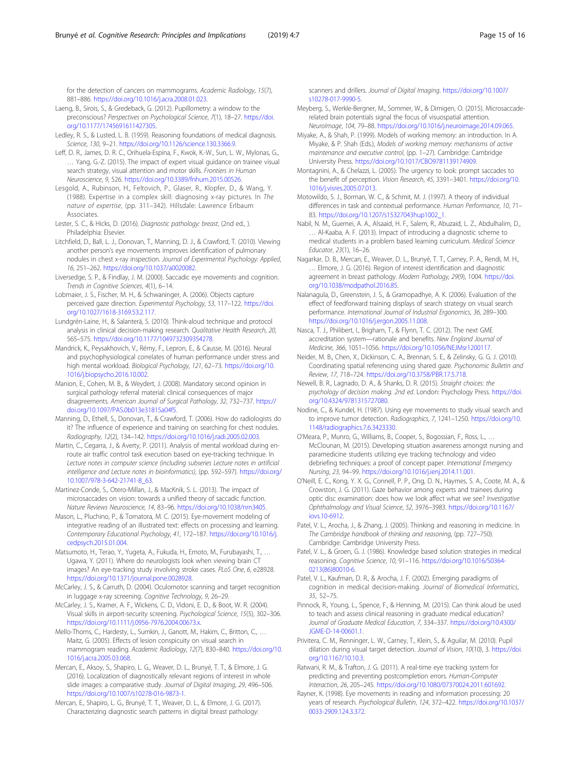<span id="page-14-0"></span>for the detection of cancers on mammograms. Academic Radiology, 15(7), 881–886. [https://doi.org/10.1016/j.acra.2008.01.023.](https://doi.org/10.1016/j.acra.2008.01.023)

- Laeng, B., Sirois, S., & Gredeback, G. (2012). Pupillometry: a window to the preconscious? Perspectives on Psychological Science, 7(1), 18-27. [https://doi.](https://doi.org/10.1177/1745691611427305) [org/10.1177/1745691611427305.](https://doi.org/10.1177/1745691611427305)
- Ledley, R. S., & Lusted, L. B. (1959). Reasoning foundations of medical diagnosis. Science, 130, 9–21. <https://doi.org/10.1126/science.130.3366.9>.
- Leff, D. R., James, D. R. C., Orihuela-Espina, F., Kwok, K.-W., Sun, L. W., Mylonas, G., … Yang, G.-Z. (2015). The impact of expert visual guidance on trainee visual search strategy, visual attention and motor skills. Frontiers in Human Neuroscience, 9, 526. <https://doi.org/10.3389/fnhum.2015.00526>.
- Lesgold, A., Rubinson, H., Feltovich, P., Glaser, R., Klopfer, D., & Wang, Y. (1988). Expertise in a complex skill: diagnosing x-ray pictures. In The nature of expertise, (pp. 311–342). Hillsdale: Lawrence Erlbaum Associates.
- Lester, S. C., & Hicks, D. (2016). Diagnostic pathology: breast, (2nd ed., ). Philadelphia: Elsevier.
- Litchfield, D., Ball, L. J., Donovan, T., Manning, D. J., & Crawford, T. (2010). Viewing another person's eye movements improves identification of pulmonary nodules in chest x-ray inspection. Journal of Experimental Psychology: Applied, 16, 251–262. <https://doi.org/10.1037/a0020082>.
- Liversedge, S. P., & Findlay, J. M. (2000). Saccadic eye movements and cognition. Trends in Cognitive Sciences, 4(1), 6–14.
- Lobmaier, J. S., Fischer, M. H., & Schwaninger, A. (2006). Objects capture perceived gaze direction. Experimental Psychology, 53, 117–122. [https://doi.](https://doi.org/10.1027/1618-3169.53.2.117) [org/10.1027/1618-3169.53.2.117](https://doi.org/10.1027/1618-3169.53.2.117).
- Lundgrén-Laine, H., & Salanterä, S. (2010). Think-aloud technique and protocol analysis in clinical decision-making research. Qualitative Health Research, 20, 565–575. [https://doi.org/10.1177/1049732309354278.](https://doi.org/10.1177/1049732309354278)
- Mandrick, K., Peysakhovich, V., Rémy, F., Lepron, E., & Causse, M. (2016). Neural and psychophysiological correlates of human performance under stress and high mental workload. Biological Psychology, 121, 62–73. [https://doi.org/10.](https://doi.org/10.1016/j.biopsycho.2016.10.002) [1016/j.biopsycho.2016.10.002](https://doi.org/10.1016/j.biopsycho.2016.10.002).
- Manion, E., Cohen, M. B., & Weydert, J. (2008). Mandatory second opinion in surgical pathology referral material: clinical consequences of major disagreements. American Journal of Surgical Pathology, 32, 732–737. [https://](https://doi.org/10.1097/PAS.0b013e31815a04f5) [doi.org/10.1097/PAS.0b013e31815a04f5.](https://doi.org/10.1097/PAS.0b013e31815a04f5)
- Manning, D., Ethell, S., Donovan, T., & Crawford, T. (2006). How do radiologists do it? The influence of experience and training on searching for chest nodules. Radiography, 12(2), 134–142. [https://doi.org/10.1016/j.radi.2005.02.003.](https://doi.org/10.1016/j.radi.2005.02.003)
- Martin, C., Cegarra, J., & Averty, P. (2011). Analysis of mental workload during enroute air traffic control task execution based on eye-tracking technique. In Lecture notes in computer science (including subseries Lecture notes in artificial intelligence and Lecture notes in bioinformatics), (pp. 592–597). [https://doi.org/](https://doi.org/10.1007/978-3-642-21741-8_63) [10.1007/978-3-642-21741-8\\_63.](https://doi.org/10.1007/978-3-642-21741-8_63)
- Martinez-Conde, S., Otero-Millan, J., & MacKnik, S. L. (2013). The impact of microsaccades on vision: towards a unified theory of saccadic function. Nature Reviews Neuroscience, 14, 83–96. <https://doi.org/10.1038/nrn3405>.
- Mason, L., Pluchino, P., & Tornatora, M. C. (2015). Eye-movement modeling of integrative reading of an illustrated text: effects on processing and learning. Contemporary Educational Psychology, 41, 172–187. [https://doi.org/10.1016/j.](https://doi.org/10.1016/j.cedpsych.2015.01.004) [cedpsych.2015.01.004.](https://doi.org/10.1016/j.cedpsych.2015.01.004)
- Matsumoto, H., Terao, Y., Yugeta, A., Fukuda, H., Emoto, M., Furubayashi, T., … Ugawa, Y. (2011). Where do neurologists look when viewing brain CT images? An eye-tracking study involving stroke cases. PLoS One, 6, e28928. <https://doi.org/10.1371/journal.pone.0028928>.
- McCarley, J. S., & Carruth, D. (2004). Oculomotor scanning and target recognition in luggage x-ray screening. Cognitive Technology, 9, 26–29.
- McCarley, J. S., Kramer, A. F., Wickens, C. D., Vidoni, E. D., & Boot, W. R. (2004). Visual skills in airport-security screening. Psychological Science, 15(5), 302–306. <https://doi.org/10.1111/j.0956-7976.2004.00673.x>.
- Mello-Thoms, C., Hardesty, L., Sumkin, J., Ganott, M., Hakim, C., Britton, C., … Maitz, G. (2005). Effects of lesion conspicuity on visual search in mammogram reading. Academic Radiology, 12(7), 830–840. [https://doi.org/10.](https://doi.org/10.1016/j.acra.2005.03.068) [1016/j.acra.2005.03.068](https://doi.org/10.1016/j.acra.2005.03.068).
- Mercan, E., Aksoy, S., Shapiro, L. G., Weaver, D. L., Brunyé, T. T., & Elmore, J. G. (2016). Localization of diagnostically relevant regions of interest in whole slide images: a comparative study. Journal of Digital Imaging, 29, 496–506. <https://doi.org/10.1007/s10278-016-9873-1>.
- Mercan, E., Shapiro, L. G., Brunyé, T. T., Weaver, D. L., & Elmore, J. G. (2017). Characterizing diagnostic search patterns in digital breast pathology:

scanners and drillers. Journal of Digital Imaging. [https://doi.org/10.1007/](https://doi.org/10.1007/s10278-017-9990-5) [s10278-017-9990-5.](https://doi.org/10.1007/s10278-017-9990-5)

- Meyberg, S., Werkle-Bergner, M., Sommer, W., & Dimigen, O. (2015). Microsaccaderelated brain potentials signal the focus of visuospatial attention. NeuroImage, 104, 79–88. [https://doi.org/10.1016/j.neuroimage.2014.09.065.](https://doi.org/10.1016/j.neuroimage.2014.09.065)
- Miyake, A., & Shah, P. (1999). Models of working memory: an introduction. In A. Miyake, & P. Shah (Eds.), Models of working memory: mechanisms of active maintenance and executive control, (pp. 1–27). Cambridge: Cambridge University Press. <https://doi.org/10.1017/CBO9781139174909>.
- Montagnini, A., & Chelazzi, L. (2005). The urgency to look: prompt saccades to the benefit of perception. Vision Research, 45, 3391–3401. [https://doi.org/10.](https://doi.org/10.1016/j.visres.2005.07.013) [1016/j.visres.2005.07.013](https://doi.org/10.1016/j.visres.2005.07.013).
- Motowildo, S. J., Borman, W. C., & Schmit, M. J. (1997). A theory of individual differences in task and contextual performance. Human Performance, 10, 71– 83. [https://doi.org/10.1207/s15327043hup1002\\_1.](https://doi.org/10.1207/s15327043hup1002_1)
- Nabil, N. M., Guemei, A. A., Alsaaid, H. F., Salem, R., Abuzaid, L. Z., Abdulhalim, D., … Al-Kaaba, A. F. (2013). Impact of introducing a diagnostic scheme to medical students in a problem based learning curriculum. Medical Science Educator, 23(1), 16–26.
- Nagarkar, D. B., Mercan, E., Weaver, D. L., Brunyé, T. T., Carney, P. A., Rendi, M. H., … Elmore, J. G. (2016). Region of interest identification and diagnostic agreement in breast pathology. Modern Pathology, 29(9), 1004. [https://doi.](https://doi.org/10.1038/modpathol.2016.85) [org/10.1038/modpathol.2016.85.](https://doi.org/10.1038/modpathol.2016.85)
- Nalanagula, D., Greenstein, J. S., & Gramopadhye, A. K. (2006). Evaluation of the effect of feedforward training displays of search strategy on visual search performance. International Journal of Industrial Ergonomics, 36, 289–300. [https://doi.org/10.1016/j.ergon.2005.11.008.](https://doi.org/10.1016/j.ergon.2005.11.008)
- Nasca, T. J., Philibert, I., Brigham, T., & Flynn, T. C. (2012). The next GME accreditation system—rationale and benefits. New England Journal of Medicine, 366, 1051–1056. <https://doi.org/10.1056/NEJMsr1200117>.
- Neider, M. B., Chen, X., Dickinson, C. A., Brennan, S. E., & Zelinsky, G. G. J. (2010). Coordinating spatial referencing using shared gaze. Psychonomic Bulletin and Review, 17, 718–724. [https://doi.org/10.3758/PBR.17.5.718.](https://doi.org/10.3758/PBR.17.5.718)
- Newell, B. R., Lagnado, D. A., & Shanks, D. R. (2015). Straight choices: the psychology of decision making. 2nd ed. London: Psychology Press. [https://doi.](https://doi.org/10.4324/9781315727080) [org/10.4324/9781315727080](https://doi.org/10.4324/9781315727080).
- Nodine, C., & Kundel, H. (1987). Using eye movements to study visual search and to improve tumor detection. Radiographics, 7, 1241–1250. [https://doi.org/10.](https://doi.org/10.1148/radiographics.7.6.3423330) [1148/radiographics.7.6.3423330](https://doi.org/10.1148/radiographics.7.6.3423330).
- O'Meara, P., Munro, G., Williams, B., Cooper, S., Bogossian, F., Ross, L., … McClounan, M. (2015). Developing situation awareness amongst nursing and paramedicine students utilizing eye tracking technology and video debriefing techniques: a proof of concept paper. International Emergency Nursing, 23, 94–99. [https://doi.org/10.1016/j.ienj.2014.11.001.](https://doi.org/10.1016/j.ienj.2014.11.001)
- O'Neill, E. C., Kong, Y. X. G., Connell, P. P., Ong, D. N., Haymes, S. A., Coote, M. A., & Crowston, J. G. (2011). Gaze behavior among experts and trainees during optic disc examination: does how we look affect what we see? Investigative Ophthalmology and Visual Science, 52, 3976–3983. [https://doi.org/10.1167/](https://doi.org/10.1167/iovs.10-6912) [iovs.10-6912](https://doi.org/10.1167/iovs.10-6912).
- Patel, V. L., Arocha, J., & Zhang, J. (2005). Thinking and reasoning in medicine. In The Cambridge handbook of thinking and reasoning, (pp. 727–750). Cambridge: Cambridge University Press.

Patel, V. L., & Groen, G. J. (1986). Knowledge based solution strategies in medical reasoning. Cognitive Science, 10, 91–116. [https://doi.org/10.1016/S0364-](https://doi.org/10.1016/S0364-0213(86)80010-6) [0213\(86\)80010-6](https://doi.org/10.1016/S0364-0213(86)80010-6).

- Patel, V. L., Kaufman, D. R., & Arocha, J. F. (2002). Emerging paradigms of cognition in medical decision-making. Journal of Biomedical Informatics, 35, 52–75.
- Pinnock, R., Young, L., Spence, F., & Henning, M. (2015). Can think aloud be used to teach and assess clinical reasoning in graduate medical education? Journal of Graduate Medical Education, 7, 334–337. [https://doi.org/10.4300/](https://doi.org/10.4300/JGME-D-14-00601.1) [JGME-D-14-00601.1.](https://doi.org/10.4300/JGME-D-14-00601.1)
- Privitera, C. M., Renninger, L. W., Carney, T., Klein, S., & Aguilar, M. (2010). Pupil dilation during visual target detection. Journal of Vision, 10(10), 3. [https://doi.](https://doi.org/10.1167/10.10.3) [org/10.1167/10.10.3](https://doi.org/10.1167/10.10.3).
- Ratwani, R. M., & Trafton, J. G. (2011). A real-time eye tracking system for predicting and preventing postcompletion errors. Human-Computer Interaction, 26, 205–245. <https://doi.org/10.1080/07370024.2011.601692>.
- Rayner, K. (1998). Eye movements in reading and information processing: 20 years of research. Psychological Bulletin, 124, 372–422. [https://doi.org/10.1037/](https://doi.org/10.1037/0033-2909.124.3.372) [0033-2909.124.3.372.](https://doi.org/10.1037/0033-2909.124.3.372)